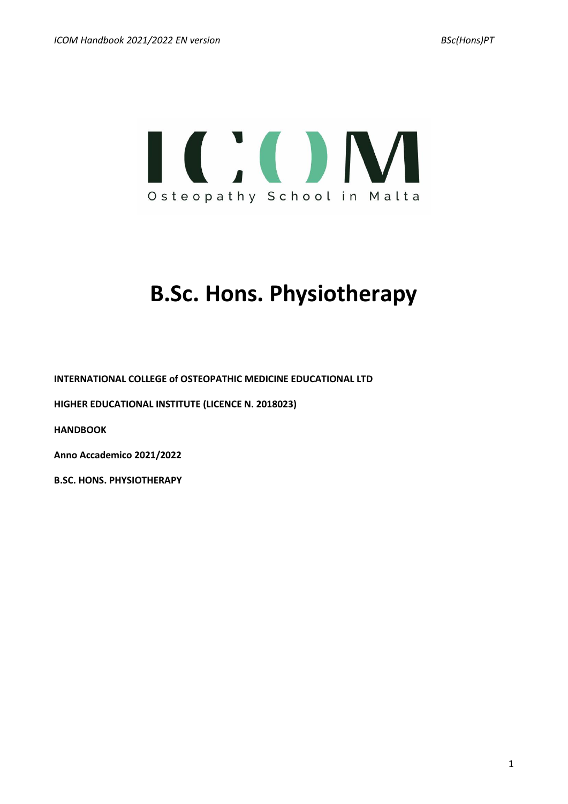

# **B.Sc. Hons. Physiotherapy**

**INTERNATIONAL COLLEGE of OSTEOPATHIC MEDICINE EDUCATIONAL LTD**

**HIGHER EDUCATIONAL INSTITUTE (LICENCE N. 2018023)**

**HANDBOOK**

**Anno Accademico 2021/2022**

**B.SC. HONS. PHYSIOTHERAPY**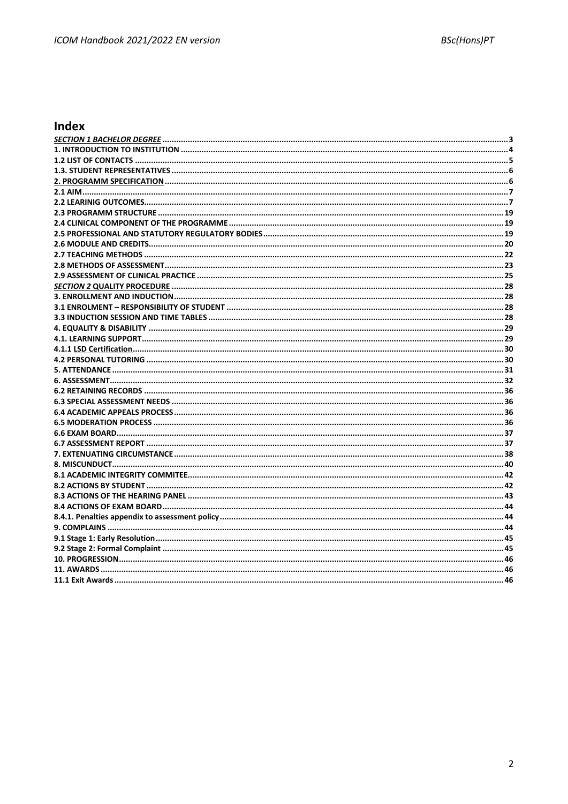# Index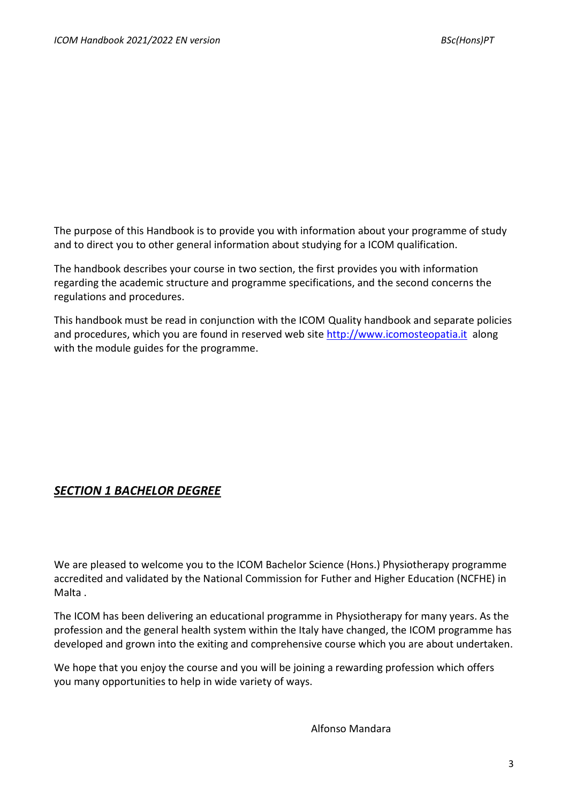The purpose of this Handbook is to provide you with information about your programme of study and to direct you to other general information about studying for a ICOM qualification.

The handbook describes your course in two section, the first provides you with information regarding the academic structure and programme specifications, and the second concerns the regulations and procedures.

This handbook must be read in conjunction with the ICOM Quality handbook and separate policies and procedures, which you are found in reserved web site [http://www.icomosteopatia.it](http://www.icomosteopatia.it/) along with the module guides for the programme.

# *SECTION 1 BACHELOR DEGREE*

We are pleased to welcome you to the ICOM Bachelor Science (Hons.) Physiotherapy programme accredited and validated by the National Commission for Futher and Higher Education (NCFHE) in Malta .

The ICOM has been delivering an educational programme in Physiotherapy for many years. As the profession and the general health system within the Italy have changed, the ICOM programme has developed and grown into the exiting and comprehensive course which you are about undertaken.

We hope that you enjoy the course and you will be joining a rewarding profession which offers you many opportunities to help in wide variety of ways.

Alfonso Mandara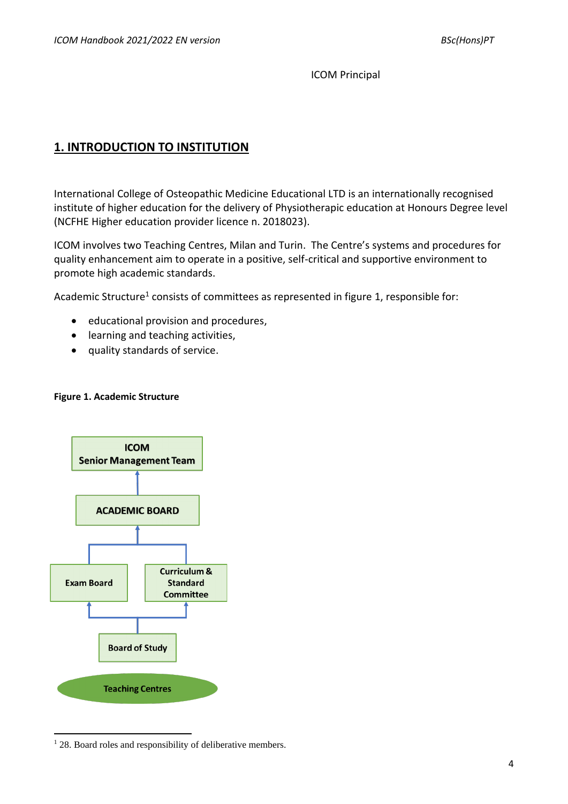ICOM Principal

# **1. INTRODUCTION TO INSTITUTION**

International College of Osteopathic Medicine Educational LTD is an internationally recognised institute of higher education for the delivery of Physiotherapic education at Honours Degree level (NCFHE Higher education provider licence n. 2018023).

ICOM involves two Teaching Centres, Milan and Turin. The Centre's systems and procedures for quality enhancement aim to operate in a positive, self-critical and supportive environment to promote high academic standards.

Academic Structure<sup>1</sup> consists of committees as represented in figure 1, responsible for:

- educational provision and procedures,
- learning and teaching activities,
- quality standards of service.

### **Figure 1. Academic Structure**



<sup>&</sup>lt;sup>1</sup> 28. Board roles and responsibility of deliberative members.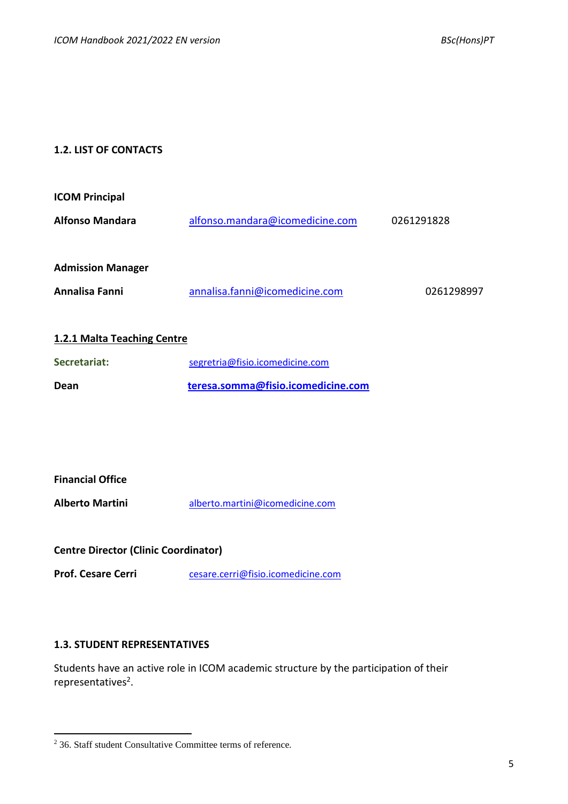# **1.2. LIST OF CONTACTS**

| <b>ICOM Principal</b>    |                                 |            |
|--------------------------|---------------------------------|------------|
| <b>Alfonso Mandara</b>   | alfonso.mandara@icomedicine.com | 0261291828 |
| <b>Admission Manager</b> |                                 |            |
| Annalisa Fanni           | annalisa.fanni@icomedicine.com  | 0261298997 |

# **1.2.1 Malta Teaching Centre**

| Secretariat: | segretria@fisio.icomedicine.com    |
|--------------|------------------------------------|
| Dean         | teresa.somma@fisio.icomedicine.com |

# **Financial Office**

**Alberto Martini** [alberto.martini@icomedicine.com](mailto:alberto.martini@icomedicine.com)

**Centre Director (Clinic Coordinator)**

**Prof. Cesare Cerri** [cesare.cerri@fisio.icomedicine.com](mailto:cesare.cerri@fisio.icomedicine.com)

# **1.3. STUDENT REPRESENTATIVES**

Students have an active role in ICOM academic structure by the participation of their representatives<sup>2</sup>.

<sup>2</sup> 36. Staff student Consultative Committee terms of reference.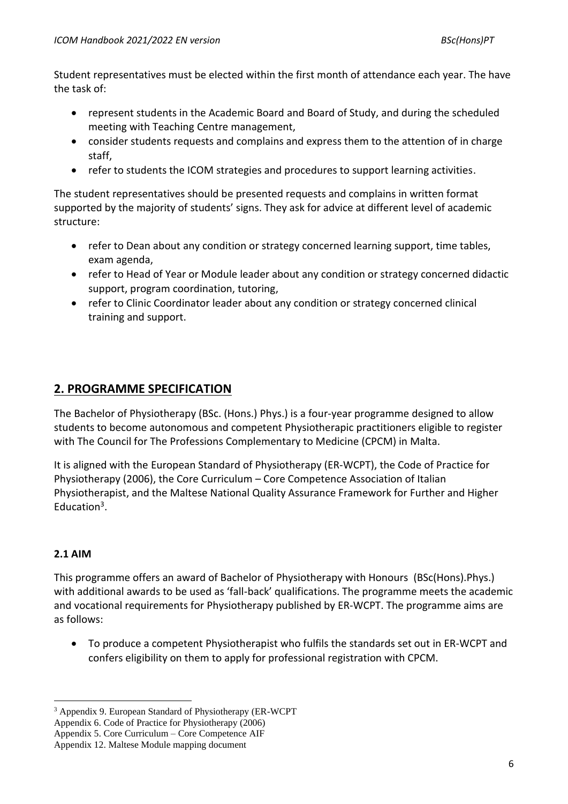Student representatives must be elected within the first month of attendance each year. The have the task of:

- represent students in the Academic Board and Board of Study, and during the scheduled meeting with Teaching Centre management,
- consider students requests and complains and express them to the attention of in charge staff,
- refer to students the ICOM strategies and procedures to support learning activities.

The student representatives should be presented requests and complains in written format supported by the majority of students' signs. They ask for advice at different level of academic structure:

- refer to Dean about any condition or strategy concerned learning support, time tables, exam agenda,
- refer to Head of Year or Module leader about any condition or strategy concerned didactic support, program coordination, tutoring,
- refer to Clinic Coordinator leader about any condition or strategy concerned clinical training and support.

# **2. PROGRAMME SPECIFICATION**

The Bachelor of Physiotherapy (BSc. (Hons.) Phys.) is a four-year programme designed to allow students to become autonomous and competent Physiotherapic practitioners eligible to register with The Council for The Professions Complementary to Medicine (CPCM) in Malta.

It is aligned with the European Standard of Physiotherapy (ER-WCPT), the Code of Practice for Physiotherapy (2006), the Core Curriculum – Core Competence Association of Italian Physiotherapist, and the Maltese National Quality Assurance Framework for Further and Higher Education<sup>3</sup>.

# **2.1 AIM**

This programme offers an award of Bachelor of Physiotherapy with Honours (BSc(Hons).Phys.) with additional awards to be used as 'fall-back' qualifications. The programme meets the academic and vocational requirements for Physiotherapy published by ER-WCPT. The programme aims are as follows:

• To produce a competent Physiotherapist who fulfils the standards set out in ER-WCPT and confers eligibility on them to apply for professional registration with CPCM.

<sup>3</sup> Appendix 9. European Standard of Physiotherapy (ER-WCPT

Appendix 6. Code of Practice for Physiotherapy (2006)

Appendix 5. Core Curriculum – Core Competence AIF

Appendix 12. Maltese Module mapping document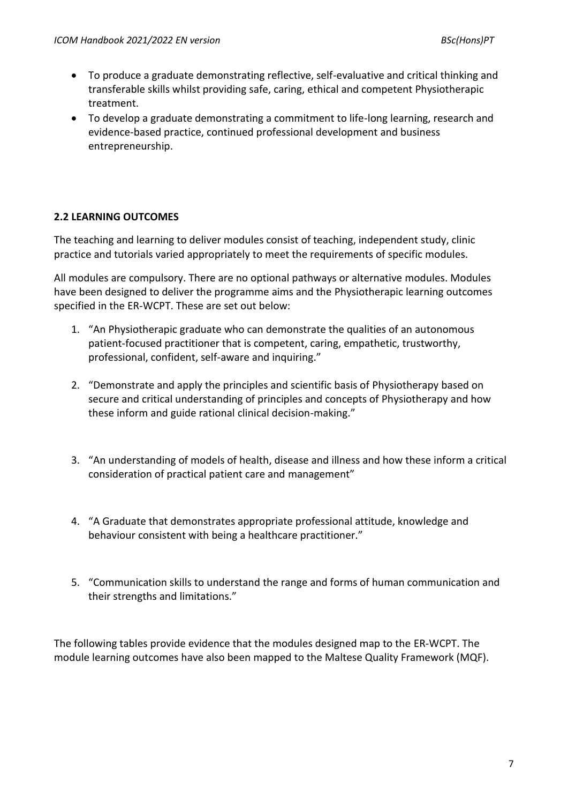- To produce a graduate demonstrating reflective, self-evaluative and critical thinking and transferable skills whilst providing safe, caring, ethical and competent Physiotherapic treatment.
- To develop a graduate demonstrating a commitment to life-long learning, research and evidence-based practice, continued professional development and business entrepreneurship.

# **2.2 LEARNING OUTCOMES**

The teaching and learning to deliver modules consist of teaching, independent study, clinic practice and tutorials varied appropriately to meet the requirements of specific modules.

All modules are compulsory. There are no optional pathways or alternative modules. Modules have been designed to deliver the programme aims and the Physiotherapic learning outcomes specified in the ER-WCPT. These are set out below:

- 1. "An Physiotherapic graduate who can demonstrate the qualities of an autonomous patient-focused practitioner that is competent, caring, empathetic, trustworthy, professional, confident, self-aware and inquiring."
- 2. "Demonstrate and apply the principles and scientific basis of Physiotherapy based on secure and critical understanding of principles and concepts of Physiotherapy and how these inform and guide rational clinical decision-making."
- 3. "An understanding of models of health, disease and illness and how these inform a critical consideration of practical patient care and management"
- 4. "A Graduate that demonstrates appropriate professional attitude, knowledge and behaviour consistent with being a healthcare practitioner."
- 5. "Communication skills to understand the range and forms of human communication and their strengths and limitations."

The following tables provide evidence that the modules designed map to the ER-WCPT. The module learning outcomes have also been mapped to the Maltese Quality Framework (MQF).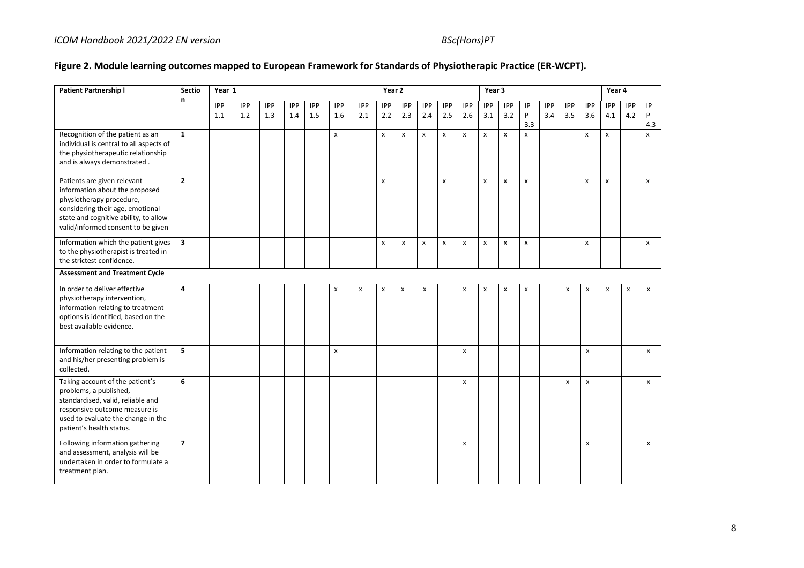# **Figure 2. Module learning outcomes mapped to European Framework for Standards of Physiotherapic Practice (ER-WCPT)***.*

| <b>Patient Partnership I</b>                                                                                                                                                                                 | <b>Sectio</b>  | Year 1     |     |     |            |     |              |                    | Year 2       |                           |     |              |              | Year 3                    |                |              |            |            |            | Year 4       |            |                    |
|--------------------------------------------------------------------------------------------------------------------------------------------------------------------------------------------------------------|----------------|------------|-----|-----|------------|-----|--------------|--------------------|--------------|---------------------------|-----|--------------|--------------|---------------------------|----------------|--------------|------------|------------|------------|--------------|------------|--------------------|
|                                                                                                                                                                                                              | n              | <b>IPP</b> | IPP | IPP | <b>IPP</b> | IPP | IPP          | <b>IPP</b>         | <b>IPP</b>   | <b>IPP</b>                | IPP | <b>IPP</b>   | <b>IPP</b>   | IPP                       | <b>IPP</b>     | IP           | <b>IPP</b> | <b>IPP</b> | <b>IPP</b> | <b>IPP</b>   | <b>IPP</b> | $\sf IP$           |
|                                                                                                                                                                                                              |                | 1.1        | 1.2 | 1.3 | 1.4        | 1.5 | 1.6          | 2.1                | 2.2          | 2.3                       | 2.4 | 2.5          | 2.6          | 3.1                       | 3.2            | P            | 3.4        | 3.5        | 3.6        | 4.1          | 4.2        | P                  |
|                                                                                                                                                                                                              |                |            |     |     |            |     |              |                    |              |                           |     |              |              |                           |                | 3.3          |            |            |            |              |            | 4.3                |
| Recognition of the patient as an<br>individual is central to all aspects of<br>the physiotherapeutic relationship<br>and is always demonstrated.                                                             | $\mathbf{1}$   |            |     |     |            |     | $\mathsf{x}$ |                    | X            | $\boldsymbol{\mathsf{x}}$ | X   | $\mathsf{x}$ | X            | $\boldsymbol{\mathsf{x}}$ | $\mathsf{x}$   | $\mathsf{x}$ |            |            | x          | $\mathsf{x}$ |            | $\mathsf{x}$       |
| Patients are given relevant<br>information about the proposed<br>physiotherapy procedure,<br>considering their age, emotional<br>state and cognitive ability, to allow<br>valid/informed consent to be given | $\overline{2}$ |            |     |     |            |     |              |                    | $\pmb{\chi}$ |                           |     | x            |              | $\boldsymbol{\mathsf{x}}$ | $\pmb{\times}$ | X            |            |            | x          | $\mathsf{x}$ |            | X                  |
| Information which the patient gives<br>to the physiotherapist is treated in<br>the strictest confidence.                                                                                                     | 3              |            |     |     |            |     |              |                    | $\pmb{\chi}$ | $\pmb{\times}$            | x   | x            | X            | $\boldsymbol{\mathsf{x}}$ | X              | $\mathsf{x}$ |            |            | X          |              |            | $\pmb{\mathsf{x}}$ |
| <b>Assessment and Treatment Cycle</b>                                                                                                                                                                        |                |            |     |     |            |     |              |                    |              |                           |     |              |              |                           |                |              |            |            |            |              |            |                    |
| In order to deliver effective<br>physiotherapy intervention,<br>information relating to treatment<br>options is identified, based on the<br>best available evidence.                                         | 4              |            |     |     |            |     | x            | $\pmb{\mathsf{x}}$ | $\pmb{\chi}$ | $\pmb{\times}$            | x   |              | x            | X                         | $\pmb{\times}$ | X            |            | X          | x          | $\pmb{\chi}$ | x          | $\pmb{\chi}$       |
| Information relating to the patient<br>and his/her presenting problem is<br>collected.                                                                                                                       | 5              |            |     |     |            |     | X            |                    |              |                           |     |              | $\mathsf{x}$ |                           |                |              |            |            | x          |              |            | $\mathsf{x}$       |
| Taking account of the patient's<br>problems, a published,<br>standardised, valid, reliable and<br>responsive outcome measure is<br>used to evaluate the change in the<br>patient's health status.            | 6              |            |     |     |            |     |              |                    |              |                           |     |              | $\mathsf{x}$ |                           |                |              |            | X          | x          |              |            | $\pmb{\mathsf{x}}$ |
| Following information gathering<br>and assessment, analysis will be<br>undertaken in order to formulate a<br>treatment plan.                                                                                 | $\overline{7}$ |            |     |     |            |     |              |                    |              |                           |     |              | $\mathsf{x}$ |                           |                |              |            |            | x          |              |            | $\pmb{\chi}$       |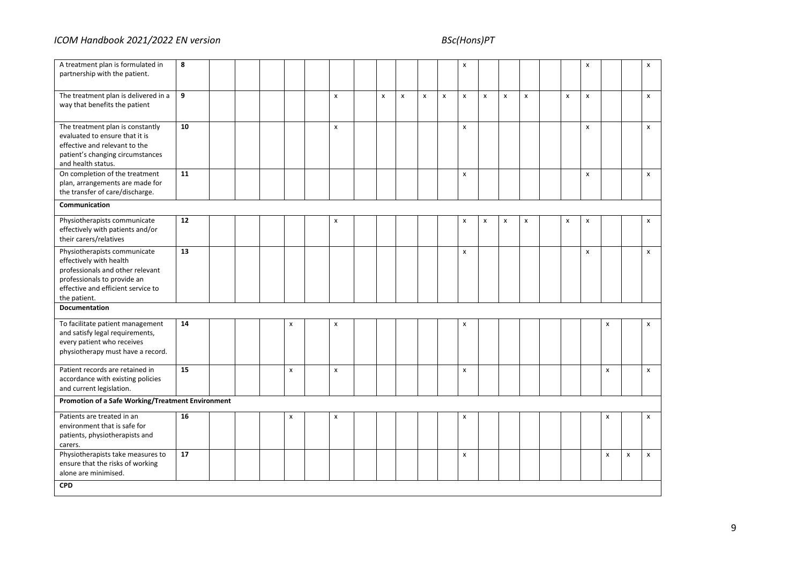| A treatment plan is formulated in<br>partnership with the patient.                                                                                                               | 8  |  |                           |   |                    |   |   |                | x                  |                |   |                |                           | x                  |              |              | X                  |
|----------------------------------------------------------------------------------------------------------------------------------------------------------------------------------|----|--|---------------------------|---|--------------------|---|---|----------------|--------------------|----------------|---|----------------|---------------------------|--------------------|--------------|--------------|--------------------|
| The treatment plan is delivered in a<br>way that benefits the patient                                                                                                            | 9  |  |                           | x | $\pmb{\mathsf{x}}$ | x | x | $\pmb{\times}$ | x                  | $\pmb{\times}$ | x | $\pmb{\times}$ | $\boldsymbol{\mathsf{x}}$ | $\pmb{\mathsf{x}}$ |              |              | $\pmb{\mathsf{x}}$ |
| The treatment plan is constantly<br>evaluated to ensure that it is<br>effective and relevant to the<br>patient's changing circumstances<br>and health status.                    | 10 |  |                           | x |                    |   |   |                | $\pmb{\mathsf{x}}$ |                |   |                |                           | $\pmb{\mathsf{x}}$ |              |              | $\pmb{\mathsf{x}}$ |
| On completion of the treatment<br>plan, arrangements are made for<br>the transfer of care/discharge.                                                                             | 11 |  |                           |   |                    |   |   |                | X                  |                |   |                |                           | $\pmb{\times}$     |              |              | $\pmb{\mathsf{x}}$ |
| Communication                                                                                                                                                                    |    |  |                           |   |                    |   |   |                |                    |                |   |                |                           |                    |              |              |                    |
| Physiotherapists communicate<br>effectively with patients and/or<br>their carers/relatives                                                                                       | 12 |  |                           | x |                    |   |   |                | x                  | X              | x | X              | x                         | x                  |              |              | x                  |
| Physiotherapists communicate<br>effectively with health<br>professionals and other relevant<br>professionals to provide an<br>effective and efficient service to<br>the patient. | 13 |  |                           |   |                    |   |   |                | $\mathsf{x}$       |                |   |                |                           | $\pmb{\mathsf{x}}$ |              |              | $\pmb{\mathsf{x}}$ |
| Documentation                                                                                                                                                                    |    |  |                           |   |                    |   |   |                |                    |                |   |                |                           |                    |              |              |                    |
| To facilitate patient management<br>and satisfy legal requirements,<br>every patient who receives<br>physiotherapy must have a record.                                           | 14 |  | $\pmb{\times}$            | x |                    |   |   |                | x                  |                |   |                |                           |                    | x            |              | $\pmb{\times}$     |
| Patient records are retained in<br>accordance with existing policies<br>and current legislation.                                                                                 | 15 |  | $\boldsymbol{\mathsf{x}}$ | x |                    |   |   |                | $\mathsf{x}$       |                |   |                |                           |                    | $\mathsf{x}$ |              | $\mathsf{x}$       |
| Promotion of a Safe Working/Treatment Environment                                                                                                                                |    |  |                           |   |                    |   |   |                |                    |                |   |                |                           |                    |              |              |                    |
| Patients are treated in an<br>environment that is safe for<br>patients, physiotherapists and<br>carers.                                                                          | 16 |  | x                         | X |                    |   |   |                | x                  |                |   |                |                           |                    | X            |              | X                  |
| Physiotherapists take measures to<br>ensure that the risks of working<br>alone are minimised.                                                                                    | 17 |  |                           |   |                    |   |   |                | X                  |                |   |                |                           |                    | X            | $\mathsf{x}$ | $\pmb{\mathsf{x}}$ |
| <b>CPD</b>                                                                                                                                                                       |    |  |                           |   |                    |   |   |                |                    |                |   |                |                           |                    |              |              |                    |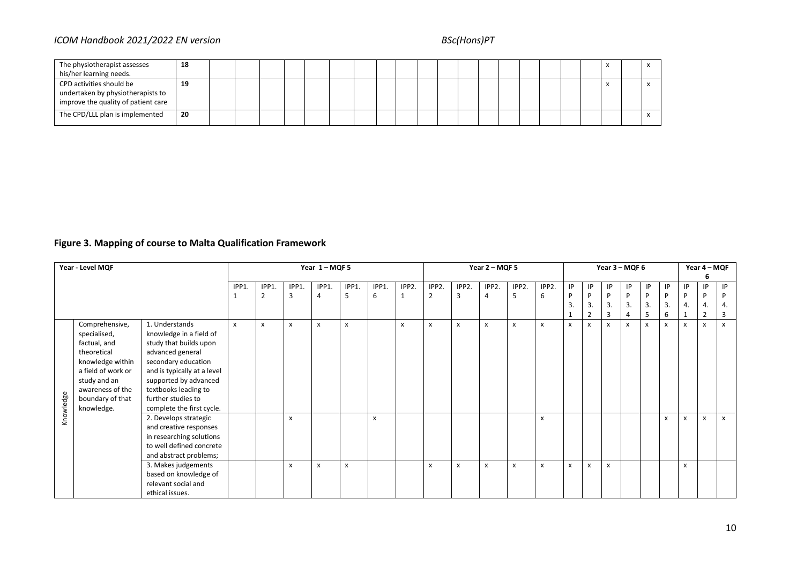# *ICOM Handbook 2021/2022 EN version* BSc(Hons)PT

| The physiotherapist assesses                                                                         | 18 |  |  |  |  |  |  |  |  |  |  |  |
|------------------------------------------------------------------------------------------------------|----|--|--|--|--|--|--|--|--|--|--|--|
| his/her learning needs.                                                                              |    |  |  |  |  |  |  |  |  |  |  |  |
| CPD activities should be<br>undertaken by physiotherapists to<br>improve the quality of patient care | 19 |  |  |  |  |  |  |  |  |  |  |  |
| The CPD/LLL plan is implemented                                                                      | 20 |  |  |  |  |  |  |  |  |  |  |  |

# **Figure 3. Mapping of course to Malta Qualification Framework**

|           | Year - Level MQF   |                             |       |       |       | Year 1-MQF5 |                |                           |              |       |                | Year 2 - MQF 5 |       |              |                           |                           |              | Year 3 - MQF 6 |              |              |    | Year 4 - MQF              |              |
|-----------|--------------------|-----------------------------|-------|-------|-------|-------------|----------------|---------------------------|--------------|-------|----------------|----------------|-------|--------------|---------------------------|---------------------------|--------------|----------------|--------------|--------------|----|---------------------------|--------------|
|           |                    |                             |       |       |       |             |                |                           |              |       |                |                |       |              |                           |                           |              |                |              |              |    |                           |              |
|           |                    |                             | IPP1. | IPP1. | IPP1. | IPP1.       | IPP1.          | IPP1.                     | IPP2.        | IPP2. | IPP2.          | IPP2.          | IPP2. | IPP2.        | IP                        | IP                        | <b>IP</b>    | IP             | IP           | IP           | IP | P                         | IP           |
|           |                    |                             |       | 2     | 3     | 4           | 5              | 6                         | $\mathbf{1}$ | 2     | 3              | 4              | 5     | 6            | P                         | P                         | P            | Þ              | P            | P            | D  | P                         |              |
|           |                    |                             |       |       |       |             |                |                           |              |       |                |                |       |              | 3                         | 3.                        | 3.           | 3.             | 3.           | 3.           | 4. | 4.                        | 4.           |
|           |                    |                             |       |       |       |             |                |                           |              |       |                |                |       |              |                           | $\overline{2}$            | 3            |                | 5            | 6            |    | $\overline{2}$            | 3            |
|           | Comprehensive,     | 1. Understands              | X     | X     | X     | X           | $\pmb{\times}$ |                           | X            | X     | $\mathsf{x}$   | X              | x     | $\mathsf{x}$ | $\boldsymbol{\mathsf{x}}$ | x                         | $\mathsf{x}$ | x              | $\mathsf{x}$ | $\mathsf{x}$ | X  | $\boldsymbol{\mathsf{x}}$ | $\mathsf{x}$ |
|           | specialised,       | knowledge in a field of     |       |       |       |             |                |                           |              |       |                |                |       |              |                           |                           |              |                |              |              |    |                           |              |
|           | factual, and       | study that builds upon      |       |       |       |             |                |                           |              |       |                |                |       |              |                           |                           |              |                |              |              |    |                           |              |
|           | theoretical        | advanced general            |       |       |       |             |                |                           |              |       |                |                |       |              |                           |                           |              |                |              |              |    |                           |              |
|           | knowledge within   | secondary education         |       |       |       |             |                |                           |              |       |                |                |       |              |                           |                           |              |                |              |              |    |                           |              |
|           | a field of work or | and is typically at a level |       |       |       |             |                |                           |              |       |                |                |       |              |                           |                           |              |                |              |              |    |                           |              |
|           | study and an       | supported by advanced       |       |       |       |             |                |                           |              |       |                |                |       |              |                           |                           |              |                |              |              |    |                           |              |
|           | awareness of the   | textbooks leading to        |       |       |       |             |                |                           |              |       |                |                |       |              |                           |                           |              |                |              |              |    |                           |              |
|           | boundary of that   | further studies to          |       |       |       |             |                |                           |              |       |                |                |       |              |                           |                           |              |                |              |              |    |                           |              |
| Knowledge | knowledge.         | complete the first cycle.   |       |       |       |             |                |                           |              |       |                |                |       |              |                           |                           |              |                |              |              |    |                           |              |
|           |                    | 2. Develops strategic       |       |       | x     |             |                | $\boldsymbol{\mathsf{x}}$ |              |       |                |                |       | x            |                           |                           |              |                |              | X            | X  | $\boldsymbol{\mathsf{x}}$ | x            |
|           |                    | and creative responses      |       |       |       |             |                |                           |              |       |                |                |       |              |                           |                           |              |                |              |              |    |                           |              |
|           |                    | in researching solutions    |       |       |       |             |                |                           |              |       |                |                |       |              |                           |                           |              |                |              |              |    |                           |              |
|           |                    | to well defined concrete    |       |       |       |             |                |                           |              |       |                |                |       |              |                           |                           |              |                |              |              |    |                           |              |
|           |                    | and abstract problems;      |       |       |       |             |                |                           |              |       |                |                |       |              |                           |                           |              |                |              |              |    |                           |              |
|           |                    | 3. Makes judgements         |       |       | x     | X           | $\pmb{\times}$ |                           |              | X     | $\pmb{\times}$ | x              | x     | X            | $\boldsymbol{\mathsf{x}}$ | $\boldsymbol{\mathsf{x}}$ | $\mathsf{x}$ |                |              |              | x  |                           |              |
|           |                    | based on knowledge of       |       |       |       |             |                |                           |              |       |                |                |       |              |                           |                           |              |                |              |              |    |                           |              |
|           |                    | relevant social and         |       |       |       |             |                |                           |              |       |                |                |       |              |                           |                           |              |                |              |              |    |                           |              |
|           |                    | ethical issues.             |       |       |       |             |                |                           |              |       |                |                |       |              |                           |                           |              |                |              |              |    |                           |              |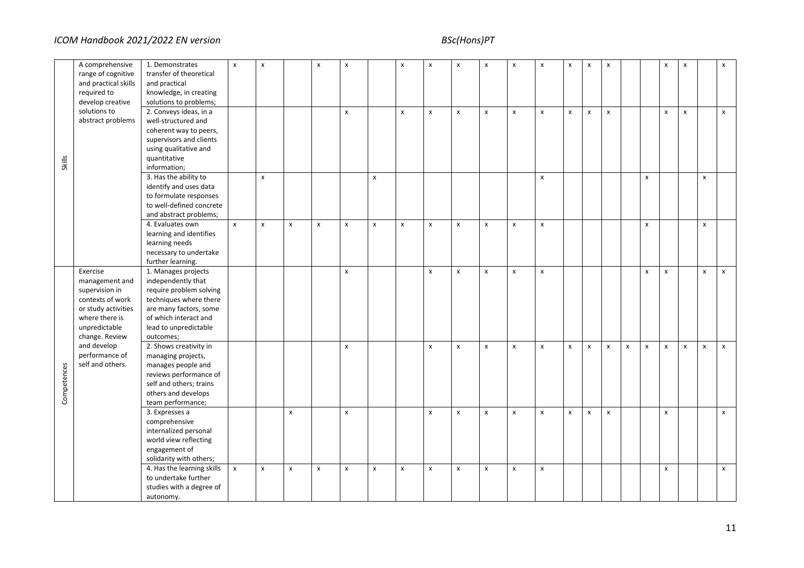|                                                                                                                                                     | A comprehensive<br>range of cognitive<br>and practical skills<br>required to<br>develop creative | 1. Demonstrates<br>transfer of theoretical<br>and practical<br>knowledge, in creating<br>solutions to problems;                                                                         | $\mathsf{x}$       | $\boldsymbol{\mathsf{x}}$ |                    | $\pmb{\times}$ | $\pmb{\chi}$       |   | $\boldsymbol{\mathsf{x}}$ | $\pmb{\chi}$       | $\pmb{\mathsf{x}}$ | $\pmb{\times}$     | $\pmb{\chi}$       | $\mathsf{x}$       | $\pmb{\chi}$       | $\pmb{\times}$     | $\pmb{\chi}$       |                    |                    | x | $\pmb{\mathsf{x}}$ |                | $\pmb{\mathsf{x}}$ |
|-----------------------------------------------------------------------------------------------------------------------------------------------------|--------------------------------------------------------------------------------------------------|-----------------------------------------------------------------------------------------------------------------------------------------------------------------------------------------|--------------------|---------------------------|--------------------|----------------|--------------------|---|---------------------------|--------------------|--------------------|--------------------|--------------------|--------------------|--------------------|--------------------|--------------------|--------------------|--------------------|---|--------------------|----------------|--------------------|
| <b>Skills</b>                                                                                                                                       | solutions to<br>abstract problems                                                                | 2. Conveys ideas, in a<br>well-structured and<br>coherent way to peers,<br>supervisors and clients<br>using qualitative and<br>quantitative<br>information;                             |                    |                           |                    |                | $\pmb{\mathsf{x}}$ |   | $\pmb{\mathsf{x}}$        | $\pmb{\mathsf{x}}$ | $\pmb{\mathsf{x}}$ | $\pmb{\mathsf{x}}$ | X                  | $\pmb{\mathsf{x}}$ | $\pmb{\times}$     | $\pmb{\mathsf{x}}$ | $\pmb{\chi}$       |                    |                    | x | $\pmb{\mathsf{x}}$ |                | $\pmb{\mathsf{x}}$ |
|                                                                                                                                                     |                                                                                                  | 3. Has the ability to<br>identify and uses data<br>to formulate responses<br>to well-defined concrete<br>and abstract problems;                                                         |                    | $\pmb{\times}$            |                    |                |                    | x |                           |                    |                    |                    |                    | $\pmb{\mathsf{x}}$ |                    |                    |                    |                    | $\pmb{\mathsf{x}}$ |   |                    | $\pmb{\times}$ |                    |
|                                                                                                                                                     |                                                                                                  | 4. Evaluates own<br>learning and identifies<br>learning needs<br>necessary to undertake<br>further learning.                                                                            | $\pmb{\mathsf{x}}$ | $\pmb{\mathsf{x}}$        | x                  | X              | $\pmb{\chi}$       | x | $\pmb{\mathsf{x}}$        | $\pmb{\chi}$       | $\pmb{\mathsf{x}}$ | $\pmb{\times}$     | $\pmb{\mathsf{x}}$ | $\pmb{\mathsf{x}}$ |                    |                    |                    |                    | $\pmb{\mathsf{x}}$ |   |                    | x              |                    |
| Exercise<br>supervision in<br>where there is<br>unpredictable<br>change. Review<br>and develop<br>performance of<br>self and others.<br>Competences | management and<br>contexts of work<br>or study activities                                        | 1. Manages projects<br>independently that<br>require problem solving<br>techniques where there<br>are many factors, some<br>of which interact and<br>lead to unpredictable<br>outcomes; |                    |                           |                    |                | $\pmb{\mathsf{X}}$ |   |                           | $\pmb{\times}$     | x                  | x                  | x                  | $\pmb{\mathsf{x}}$ |                    |                    |                    |                    | $\pmb{\times}$     | x |                    | $\mathsf{x}$   | X                  |
|                                                                                                                                                     |                                                                                                  | 2. Shows creativity in<br>managing projects,<br>manages people and<br>reviews performance of<br>self and others; trains<br>others and develops<br>team performance;                     |                    |                           |                    |                | $\pmb{\chi}$       |   |                           | $\pmb{\mathsf{x}}$ | $\pmb{\mathsf{x}}$ | $\pmb{\mathsf{x}}$ | $\pmb{\mathsf{x}}$ | $\pmb{\mathsf{x}}$ | $\pmb{\mathsf{x}}$ | X                  | $\pmb{\mathsf{x}}$ | $\pmb{\mathsf{x}}$ | $\pmb{\mathsf{x}}$ | x | $\pmb{\times}$     | $\mathsf{x}$   | $\pmb{\mathsf{x}}$ |
|                                                                                                                                                     |                                                                                                  | 3. Expresses a<br>comprehensive<br>internalized personal<br>world view reflecting<br>engagement of<br>solidarity with others;                                                           |                    |                           | $\pmb{\mathsf{x}}$ |                | $\pmb{\chi}$       |   |                           | $\pmb{\chi}$       | $\pmb{\mathsf{x}}$ | x                  | $\pmb{\mathsf{x}}$ | $\pmb{\mathsf{x}}$ | $\pmb{\chi}$       | x                  | $\pmb{\chi}$       |                    |                    | x |                    |                | $\pmb{\mathsf{X}}$ |
|                                                                                                                                                     |                                                                                                  | 4. Has the learning skills<br>to undertake further<br>studies with a degree of<br>autonomy.                                                                                             | $\pmb{\mathsf{x}}$ | $\pmb{\times}$            | $\pmb{\mathsf{x}}$ | x              | $\pmb{\mathsf{x}}$ | X | $\pmb{\mathsf{x}}$        | $\pmb{\chi}$       | $\pmb{\mathsf{x}}$ | x                  | $\pmb{\mathsf{x}}$ | $\pmb{\mathsf{x}}$ |                    |                    |                    |                    |                    | x |                    |                | $\pmb{\mathsf{X}}$ |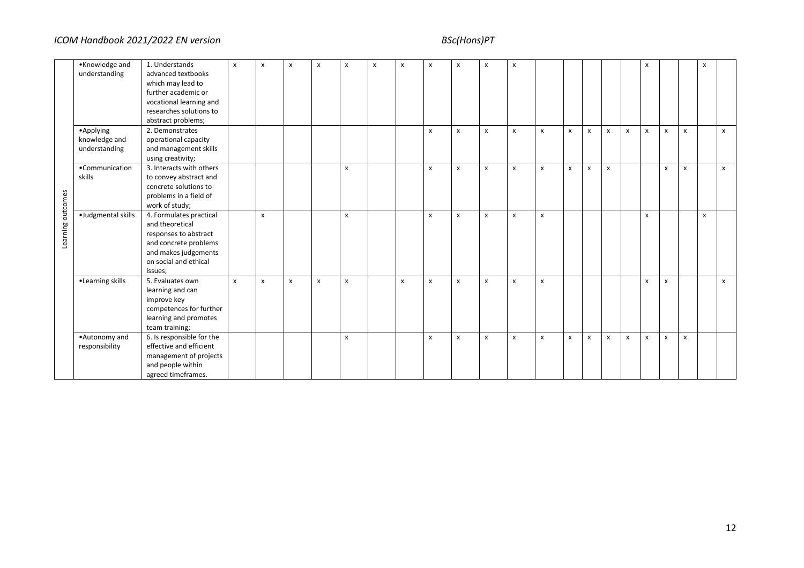|                   | •Knowledge and     | 1. Understands            | $\pmb{\chi}$ | $\pmb{\times}$ | $\mathsf{x}$ | $\boldsymbol{\mathsf{x}}$ | x | X | x | $\pmb{\times}$     | $\pmb{\chi}$ | X | $\pmb{\mathsf{x}}$ |              |              |                           |   |              | x |                |              | $\pmb{\times}$ |              |
|-------------------|--------------------|---------------------------|--------------|----------------|--------------|---------------------------|---|---|---|--------------------|--------------|---|--------------------|--------------|--------------|---------------------------|---|--------------|---|----------------|--------------|----------------|--------------|
|                   | understanding      | advanced textbooks        |              |                |              |                           |   |   |   |                    |              |   |                    |              |              |                           |   |              |   |                |              |                |              |
|                   |                    | which may lead to         |              |                |              |                           |   |   |   |                    |              |   |                    |              |              |                           |   |              |   |                |              |                |              |
|                   |                    | further academic or       |              |                |              |                           |   |   |   |                    |              |   |                    |              |              |                           |   |              |   |                |              |                |              |
|                   |                    | vocational learning and   |              |                |              |                           |   |   |   |                    |              |   |                    |              |              |                           |   |              |   |                |              |                |              |
|                   |                    | researches solutions to   |              |                |              |                           |   |   |   |                    |              |   |                    |              |              |                           |   |              |   |                |              |                |              |
|                   |                    | abstract problems;        |              |                |              |                           |   |   |   |                    |              |   |                    |              |              |                           |   |              |   |                |              |                |              |
|                   | •Applying          | 2. Demonstrates           |              |                |              |                           |   |   |   | X                  | X            | x | X                  | x            | $\mathsf{x}$ | $\boldsymbol{\mathsf{x}}$ | x | $\mathsf{x}$ | x | $\pmb{\times}$ | X            |                | X            |
|                   | knowledge and      | operational capacity      |              |                |              |                           |   |   |   |                    |              |   |                    |              |              |                           |   |              |   |                |              |                |              |
|                   | understanding      | and management skills     |              |                |              |                           |   |   |   |                    |              |   |                    |              |              |                           |   |              |   |                |              |                |              |
|                   |                    | using creativity;         |              |                |              |                           |   |   |   |                    |              |   |                    |              |              |                           |   |              |   |                |              |                |              |
|                   | •Communication     | 3. Interacts with others  |              |                |              |                           | X |   |   | $\pmb{\mathsf{x}}$ | $\mathsf{x}$ | X | x                  | $\pmb{\chi}$ | $\mathsf{x}$ | $\pmb{\times}$            | x |              |   | $\pmb{\times}$ | $\pmb{\chi}$ |                | $\mathsf{x}$ |
|                   | skills             | to convey abstract and    |              |                |              |                           |   |   |   |                    |              |   |                    |              |              |                           |   |              |   |                |              |                |              |
|                   |                    | concrete solutions to     |              |                |              |                           |   |   |   |                    |              |   |                    |              |              |                           |   |              |   |                |              |                |              |
|                   |                    | problems in a field of    |              |                |              |                           |   |   |   |                    |              |   |                    |              |              |                           |   |              |   |                |              |                |              |
|                   |                    | work of study;            |              |                |              |                           |   |   |   |                    |              |   |                    |              |              |                           |   |              |   |                |              |                |              |
| Learning outcomes | ·Judgmental skills | 4. Formulates practical   |              | $\pmb{\times}$ |              |                           | X |   |   | X                  | X            | x | $\pmb{\mathsf{x}}$ | x            |              |                           |   |              | x |                |              | $\pmb{\times}$ |              |
|                   |                    | and theoretical           |              |                |              |                           |   |   |   |                    |              |   |                    |              |              |                           |   |              |   |                |              |                |              |
|                   |                    | responses to abstract     |              |                |              |                           |   |   |   |                    |              |   |                    |              |              |                           |   |              |   |                |              |                |              |
|                   |                    | and concrete problems     |              |                |              |                           |   |   |   |                    |              |   |                    |              |              |                           |   |              |   |                |              |                |              |
|                   |                    | and makes judgements      |              |                |              |                           |   |   |   |                    |              |   |                    |              |              |                           |   |              |   |                |              |                |              |
|                   |                    | on social and ethical     |              |                |              |                           |   |   |   |                    |              |   |                    |              |              |                           |   |              |   |                |              |                |              |
|                   |                    | issues;                   |              |                |              |                           |   |   |   |                    |              |   |                    |              |              |                           |   |              |   |                |              |                |              |
|                   | •Learning skills   | 5. Evaluates own          | $\pmb{\chi}$ | $\pmb{\times}$ | $\pmb{\chi}$ | $\boldsymbol{\mathsf{x}}$ | X |   | X | X                  | $\pmb{\chi}$ | X | X                  | $\pmb{\chi}$ |              |                           |   |              | x | X              |              |                | $\pmb{\chi}$ |
|                   |                    | learning and can          |              |                |              |                           |   |   |   |                    |              |   |                    |              |              |                           |   |              |   |                |              |                |              |
|                   |                    | improve key               |              |                |              |                           |   |   |   |                    |              |   |                    |              |              |                           |   |              |   |                |              |                |              |
|                   |                    | competences for further   |              |                |              |                           |   |   |   |                    |              |   |                    |              |              |                           |   |              |   |                |              |                |              |
|                   |                    | learning and promotes     |              |                |              |                           |   |   |   |                    |              |   |                    |              |              |                           |   |              |   |                |              |                |              |
|                   |                    | team training;            |              |                |              |                           |   |   |   |                    |              |   |                    |              |              |                           |   |              |   |                |              |                |              |
|                   | •Autonomy and      | 6. Is responsible for the |              |                |              |                           | X |   |   | X                  | x            | X | X                  | x            | $\mathsf{x}$ | X                         | x | x            | X | X              | X            |                |              |
|                   | responsibility     | effective and efficient   |              |                |              |                           |   |   |   |                    |              |   |                    |              |              |                           |   |              |   |                |              |                |              |
|                   |                    | management of projects    |              |                |              |                           |   |   |   |                    |              |   |                    |              |              |                           |   |              |   |                |              |                |              |
|                   |                    | and people within         |              |                |              |                           |   |   |   |                    |              |   |                    |              |              |                           |   |              |   |                |              |                |              |
|                   |                    | agreed timeframes.        |              |                |              |                           |   |   |   |                    |              |   |                    |              |              |                           |   |              |   |                |              |                |              |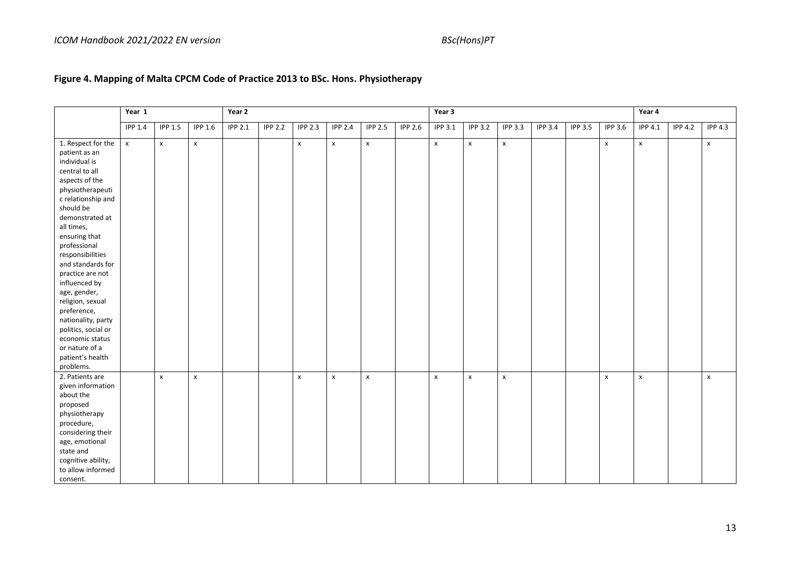# **Figure 4. Mapping of Malta CPCM Code of Practice 2013 to BSc. Hons. Physiotherapy**

|                     | Year 1             |                    |                    | Year 2         |                |                |                    |                    |                | Year 3         |                    |                    |                |                |                    | Year 4             |                |                |
|---------------------|--------------------|--------------------|--------------------|----------------|----------------|----------------|--------------------|--------------------|----------------|----------------|--------------------|--------------------|----------------|----------------|--------------------|--------------------|----------------|----------------|
|                     | <b>IPP 1.4</b>     | <b>IPP 1.5</b>     | <b>IPP 1.6</b>     | <b>IPP 2.1</b> | <b>IPP 2.2</b> | <b>IPP 2.3</b> | <b>IPP 2.4</b>     | <b>IPP 2.5</b>     | <b>IPP 2.6</b> | <b>IPP 3.1</b> | <b>IPP 3.2</b>     | <b>IPP 3.3</b>     | <b>IPP 3.4</b> | <b>IPP 3.5</b> | <b>IPP 3.6</b>     | <b>IPP 4.1</b>     | <b>IPP 4.2</b> | <b>IPP 4.3</b> |
| 1. Respect for the  | $\pmb{\mathsf{x}}$ | $\pmb{\mathsf{x}}$ | $\pmb{\mathsf{x}}$ |                |                | $\mathsf{x}$   | $\pmb{\mathsf{X}}$ | $\pmb{\mathsf{X}}$ |                | $\mathsf{x}$   | $\pmb{\mathsf{x}}$ | $\pmb{\mathsf{x}}$ |                |                | $\pmb{\mathsf{x}}$ | $\pmb{\mathsf{X}}$ |                | X              |
| patient as an       |                    |                    |                    |                |                |                |                    |                    |                |                |                    |                    |                |                |                    |                    |                |                |
| individual is       |                    |                    |                    |                |                |                |                    |                    |                |                |                    |                    |                |                |                    |                    |                |                |
| central to all      |                    |                    |                    |                |                |                |                    |                    |                |                |                    |                    |                |                |                    |                    |                |                |
| aspects of the      |                    |                    |                    |                |                |                |                    |                    |                |                |                    |                    |                |                |                    |                    |                |                |
| physiotherapeuti    |                    |                    |                    |                |                |                |                    |                    |                |                |                    |                    |                |                |                    |                    |                |                |
| c relationship and  |                    |                    |                    |                |                |                |                    |                    |                |                |                    |                    |                |                |                    |                    |                |                |
| should be           |                    |                    |                    |                |                |                |                    |                    |                |                |                    |                    |                |                |                    |                    |                |                |
| demonstrated at     |                    |                    |                    |                |                |                |                    |                    |                |                |                    |                    |                |                |                    |                    |                |                |
| all times,          |                    |                    |                    |                |                |                |                    |                    |                |                |                    |                    |                |                |                    |                    |                |                |
| ensuring that       |                    |                    |                    |                |                |                |                    |                    |                |                |                    |                    |                |                |                    |                    |                |                |
| professional        |                    |                    |                    |                |                |                |                    |                    |                |                |                    |                    |                |                |                    |                    |                |                |
| responsibilities    |                    |                    |                    |                |                |                |                    |                    |                |                |                    |                    |                |                |                    |                    |                |                |
| and standards for   |                    |                    |                    |                |                |                |                    |                    |                |                |                    |                    |                |                |                    |                    |                |                |
| practice are not    |                    |                    |                    |                |                |                |                    |                    |                |                |                    |                    |                |                |                    |                    |                |                |
| influenced by       |                    |                    |                    |                |                |                |                    |                    |                |                |                    |                    |                |                |                    |                    |                |                |
| age, gender,        |                    |                    |                    |                |                |                |                    |                    |                |                |                    |                    |                |                |                    |                    |                |                |
| religion, sexual    |                    |                    |                    |                |                |                |                    |                    |                |                |                    |                    |                |                |                    |                    |                |                |
| preference,         |                    |                    |                    |                |                |                |                    |                    |                |                |                    |                    |                |                |                    |                    |                |                |
| nationality, party  |                    |                    |                    |                |                |                |                    |                    |                |                |                    |                    |                |                |                    |                    |                |                |
| politics, social or |                    |                    |                    |                |                |                |                    |                    |                |                |                    |                    |                |                |                    |                    |                |                |
| economic status     |                    |                    |                    |                |                |                |                    |                    |                |                |                    |                    |                |                |                    |                    |                |                |
| or nature of a      |                    |                    |                    |                |                |                |                    |                    |                |                |                    |                    |                |                |                    |                    |                |                |
| patient's health    |                    |                    |                    |                |                |                |                    |                    |                |                |                    |                    |                |                |                    |                    |                |                |
| problems.           |                    |                    |                    |                |                |                |                    |                    |                |                |                    |                    |                |                |                    |                    |                |                |
| 2. Patients are     |                    | $\mathbf{x}$       | $\pmb{\times}$     |                |                | X              | $\pmb{\times}$     | $\mathbf{x}$       |                | x              | $\pmb{\times}$     | $\mathbf{x}$       |                |                | $\pmb{\chi}$       | $\mathbf{x}$       |                | x              |
| given information   |                    |                    |                    |                |                |                |                    |                    |                |                |                    |                    |                |                |                    |                    |                |                |
| about the           |                    |                    |                    |                |                |                |                    |                    |                |                |                    |                    |                |                |                    |                    |                |                |
| proposed            |                    |                    |                    |                |                |                |                    |                    |                |                |                    |                    |                |                |                    |                    |                |                |
| physiotherapy       |                    |                    |                    |                |                |                |                    |                    |                |                |                    |                    |                |                |                    |                    |                |                |
| procedure,          |                    |                    |                    |                |                |                |                    |                    |                |                |                    |                    |                |                |                    |                    |                |                |
| considering their   |                    |                    |                    |                |                |                |                    |                    |                |                |                    |                    |                |                |                    |                    |                |                |
| age, emotional      |                    |                    |                    |                |                |                |                    |                    |                |                |                    |                    |                |                |                    |                    |                |                |
| state and           |                    |                    |                    |                |                |                |                    |                    |                |                |                    |                    |                |                |                    |                    |                |                |
| cognitive ability,  |                    |                    |                    |                |                |                |                    |                    |                |                |                    |                    |                |                |                    |                    |                |                |
| to allow informed   |                    |                    |                    |                |                |                |                    |                    |                |                |                    |                    |                |                |                    |                    |                |                |
| consent.            |                    |                    |                    |                |                |                |                    |                    |                |                |                    |                    |                |                |                    |                    |                |                |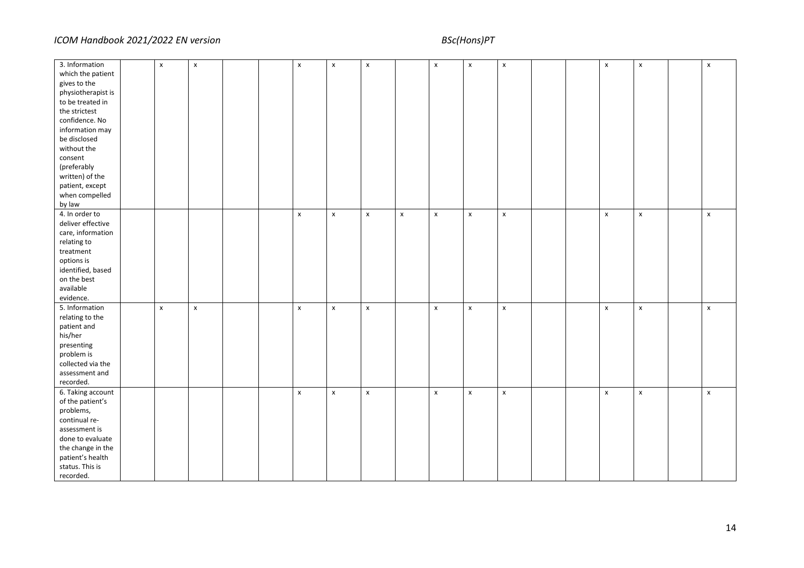| 3. Information     | $\pmb{\chi}$ | $\pmb{\mathsf{x}}$ |  | $\pmb{\mathsf{x}}$ | $\pmb{\times}$     | $\pmb{\mathsf{x}}$ |                    | $\pmb{\mathsf{x}}$ | $\pmb{\mathsf{x}}$ | $\pmb{\mathsf{x}}$ |  | $\pmb{\times}$     | $\pmb{\chi}$ | $\pmb{\mathsf{x}}$ |
|--------------------|--------------|--------------------|--|--------------------|--------------------|--------------------|--------------------|--------------------|--------------------|--------------------|--|--------------------|--------------|--------------------|
| which the patient  |              |                    |  |                    |                    |                    |                    |                    |                    |                    |  |                    |              |                    |
| gives to the       |              |                    |  |                    |                    |                    |                    |                    |                    |                    |  |                    |              |                    |
| physiotherapist is |              |                    |  |                    |                    |                    |                    |                    |                    |                    |  |                    |              |                    |
| to be treated in   |              |                    |  |                    |                    |                    |                    |                    |                    |                    |  |                    |              |                    |
| the strictest      |              |                    |  |                    |                    |                    |                    |                    |                    |                    |  |                    |              |                    |
| confidence. No     |              |                    |  |                    |                    |                    |                    |                    |                    |                    |  |                    |              |                    |
| information may    |              |                    |  |                    |                    |                    |                    |                    |                    |                    |  |                    |              |                    |
| be disclosed       |              |                    |  |                    |                    |                    |                    |                    |                    |                    |  |                    |              |                    |
| without the        |              |                    |  |                    |                    |                    |                    |                    |                    |                    |  |                    |              |                    |
|                    |              |                    |  |                    |                    |                    |                    |                    |                    |                    |  |                    |              |                    |
| consent            |              |                    |  |                    |                    |                    |                    |                    |                    |                    |  |                    |              |                    |
| (preferably        |              |                    |  |                    |                    |                    |                    |                    |                    |                    |  |                    |              |                    |
| written) of the    |              |                    |  |                    |                    |                    |                    |                    |                    |                    |  |                    |              |                    |
| patient, except    |              |                    |  |                    |                    |                    |                    |                    |                    |                    |  |                    |              |                    |
| when compelled     |              |                    |  |                    |                    |                    |                    |                    |                    |                    |  |                    |              |                    |
| by law             |              |                    |  |                    |                    |                    |                    |                    |                    |                    |  |                    |              |                    |
| 4. In order to     |              |                    |  | $\pmb{\chi}$       | $\pmb{\mathsf{x}}$ | $\pmb{\mathsf{X}}$ | $\pmb{\mathsf{X}}$ | $\pmb{\mathsf{x}}$ | $\pmb{\mathsf{x}}$ | $\pmb{\mathsf{X}}$ |  | $\pmb{\chi}$       | $\mathsf{x}$ | $\pmb{\mathsf{X}}$ |
| deliver effective  |              |                    |  |                    |                    |                    |                    |                    |                    |                    |  |                    |              |                    |
| care, information  |              |                    |  |                    |                    |                    |                    |                    |                    |                    |  |                    |              |                    |
| relating to        |              |                    |  |                    |                    |                    |                    |                    |                    |                    |  |                    |              |                    |
| $treatment$        |              |                    |  |                    |                    |                    |                    |                    |                    |                    |  |                    |              |                    |
| options is         |              |                    |  |                    |                    |                    |                    |                    |                    |                    |  |                    |              |                    |
| identified, based  |              |                    |  |                    |                    |                    |                    |                    |                    |                    |  |                    |              |                    |
| on the best        |              |                    |  |                    |                    |                    |                    |                    |                    |                    |  |                    |              |                    |
| available          |              |                    |  |                    |                    |                    |                    |                    |                    |                    |  |                    |              |                    |
| evidence.          |              |                    |  |                    |                    |                    |                    |                    |                    |                    |  |                    |              |                    |
| 5. Information     | $\mathsf{x}$ | $\pmb{\mathsf{X}}$ |  | $\pmb{\mathsf{x}}$ | $\pmb{\mathsf{x}}$ | $\pmb{\mathsf{X}}$ |                    | $\pmb{\mathsf{x}}$ | $\pmb{\chi}$       | $\pmb{\mathsf{X}}$ |  | $\mathsf{x}$       | $\mathsf{x}$ | $\pmb{\mathsf{X}}$ |
| relating to the    |              |                    |  |                    |                    |                    |                    |                    |                    |                    |  |                    |              |                    |
| patient and        |              |                    |  |                    |                    |                    |                    |                    |                    |                    |  |                    |              |                    |
| his/her            |              |                    |  |                    |                    |                    |                    |                    |                    |                    |  |                    |              |                    |
| presenting         |              |                    |  |                    |                    |                    |                    |                    |                    |                    |  |                    |              |                    |
| problem is         |              |                    |  |                    |                    |                    |                    |                    |                    |                    |  |                    |              |                    |
| collected via the  |              |                    |  |                    |                    |                    |                    |                    |                    |                    |  |                    |              |                    |
| assessment and     |              |                    |  |                    |                    |                    |                    |                    |                    |                    |  |                    |              |                    |
| recorded.          |              |                    |  |                    |                    |                    |                    |                    |                    |                    |  |                    |              |                    |
| 6. Taking account  |              |                    |  | $\pmb{\chi}$       | $\pmb{\times}$     | $\pmb{\mathsf{x}}$ |                    | $\pmb{\chi}$       | $\pmb{\chi}$       | $\pmb{\mathsf{X}}$ |  | $\pmb{\mathsf{x}}$ | $\mathsf{x}$ | $\pmb{\mathsf{x}}$ |
| of the patient's   |              |                    |  |                    |                    |                    |                    |                    |                    |                    |  |                    |              |                    |
| problems,          |              |                    |  |                    |                    |                    |                    |                    |                    |                    |  |                    |              |                    |
| continual re-      |              |                    |  |                    |                    |                    |                    |                    |                    |                    |  |                    |              |                    |
| assessment is      |              |                    |  |                    |                    |                    |                    |                    |                    |                    |  |                    |              |                    |
| done to evaluate   |              |                    |  |                    |                    |                    |                    |                    |                    |                    |  |                    |              |                    |
| the change in the  |              |                    |  |                    |                    |                    |                    |                    |                    |                    |  |                    |              |                    |
| patient's health   |              |                    |  |                    |                    |                    |                    |                    |                    |                    |  |                    |              |                    |
| status. This is    |              |                    |  |                    |                    |                    |                    |                    |                    |                    |  |                    |              |                    |
|                    |              |                    |  |                    |                    |                    |                    |                    |                    |                    |  |                    |              |                    |
| recorded.          |              |                    |  |                    |                    |                    |                    |                    |                    |                    |  |                    |              |                    |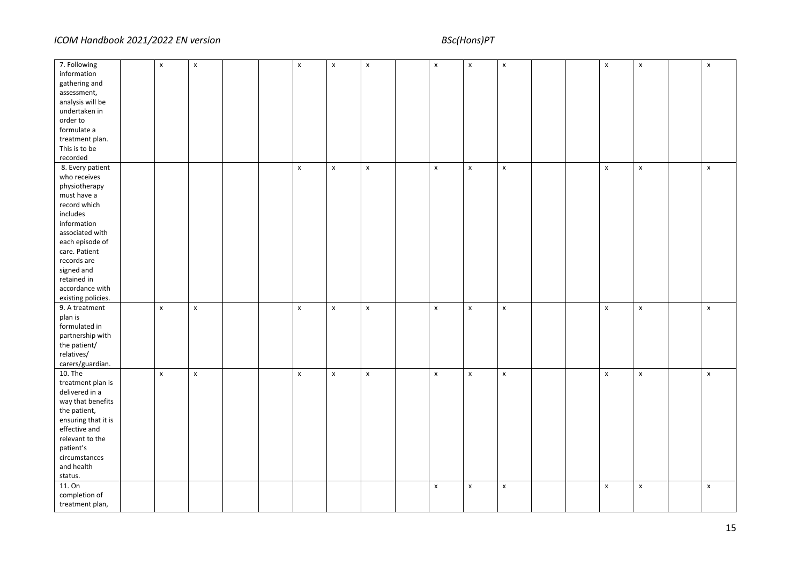| 7. Following        | $\pmb{\mathsf{x}}$ | $\pmb{\mathsf{X}}$ |  | $\pmb{\mathsf{x}}$ | $\pmb{\mathsf{x}}$ | $\pmb{\mathsf{x}}$ | $\pmb{\mathsf{x}}$ | $\pmb{\mathsf{x}}$ | $\pmb{\mathsf{x}}$ |  | $\pmb{\mathsf{x}}$ | $\pmb{\mathsf{x}}$ | x                  |
|---------------------|--------------------|--------------------|--|--------------------|--------------------|--------------------|--------------------|--------------------|--------------------|--|--------------------|--------------------|--------------------|
| information         |                    |                    |  |                    |                    |                    |                    |                    |                    |  |                    |                    |                    |
| gathering and       |                    |                    |  |                    |                    |                    |                    |                    |                    |  |                    |                    |                    |
| assessment,         |                    |                    |  |                    |                    |                    |                    |                    |                    |  |                    |                    |                    |
| analysis will be    |                    |                    |  |                    |                    |                    |                    |                    |                    |  |                    |                    |                    |
| undertaken in       |                    |                    |  |                    |                    |                    |                    |                    |                    |  |                    |                    |                    |
| order to            |                    |                    |  |                    |                    |                    |                    |                    |                    |  |                    |                    |                    |
| formulate a         |                    |                    |  |                    |                    |                    |                    |                    |                    |  |                    |                    |                    |
|                     |                    |                    |  |                    |                    |                    |                    |                    |                    |  |                    |                    |                    |
| treatment plan.     |                    |                    |  |                    |                    |                    |                    |                    |                    |  |                    |                    |                    |
| This is to be       |                    |                    |  |                    |                    |                    |                    |                    |                    |  |                    |                    |                    |
| recorded            |                    |                    |  |                    |                    |                    |                    |                    |                    |  |                    |                    |                    |
| 8. Every patient    |                    |                    |  | $\pmb{\mathsf{x}}$ | $\pmb{\mathsf{x}}$ | $\pmb{\mathsf{x}}$ | $\pmb{\mathsf{x}}$ | $\pmb{\mathsf{x}}$ | $\pmb{\mathsf{x}}$ |  | $\pmb{\mathsf{x}}$ | $\pmb{\mathsf{x}}$ | $\pmb{\mathsf{x}}$ |
| who receives        |                    |                    |  |                    |                    |                    |                    |                    |                    |  |                    |                    |                    |
| physiotherapy       |                    |                    |  |                    |                    |                    |                    |                    |                    |  |                    |                    |                    |
| must have a         |                    |                    |  |                    |                    |                    |                    |                    |                    |  |                    |                    |                    |
| record which        |                    |                    |  |                    |                    |                    |                    |                    |                    |  |                    |                    |                    |
| includes            |                    |                    |  |                    |                    |                    |                    |                    |                    |  |                    |                    |                    |
| information         |                    |                    |  |                    |                    |                    |                    |                    |                    |  |                    |                    |                    |
| associated with     |                    |                    |  |                    |                    |                    |                    |                    |                    |  |                    |                    |                    |
| each episode of     |                    |                    |  |                    |                    |                    |                    |                    |                    |  |                    |                    |                    |
| care. Patient       |                    |                    |  |                    |                    |                    |                    |                    |                    |  |                    |                    |                    |
| records are         |                    |                    |  |                    |                    |                    |                    |                    |                    |  |                    |                    |                    |
| signed and          |                    |                    |  |                    |                    |                    |                    |                    |                    |  |                    |                    |                    |
| retained in         |                    |                    |  |                    |                    |                    |                    |                    |                    |  |                    |                    |                    |
|                     |                    |                    |  |                    |                    |                    |                    |                    |                    |  |                    |                    |                    |
| accordance with     |                    |                    |  |                    |                    |                    |                    |                    |                    |  |                    |                    |                    |
| existing policies.  |                    |                    |  |                    |                    |                    |                    |                    |                    |  |                    |                    |                    |
| 9. A treatment      | $\pmb{\mathsf{X}}$ | $\pmb{\mathsf{x}}$ |  | $\mathsf{x}$       | $\pmb{\chi}$       | $\mathsf{x}$       | $\pmb{\mathsf{X}}$ | $\pmb{\mathsf{x}}$ | $\pmb{\mathsf{x}}$ |  | $\pmb{\mathsf{x}}$ | $\pmb{\chi}$       | $\pmb{\mathsf{x}}$ |
| plan is             |                    |                    |  |                    |                    |                    |                    |                    |                    |  |                    |                    |                    |
| formulated in       |                    |                    |  |                    |                    |                    |                    |                    |                    |  |                    |                    |                    |
| partnership with    |                    |                    |  |                    |                    |                    |                    |                    |                    |  |                    |                    |                    |
| the patient/        |                    |                    |  |                    |                    |                    |                    |                    |                    |  |                    |                    |                    |
| relatives/          |                    |                    |  |                    |                    |                    |                    |                    |                    |  |                    |                    |                    |
| carers/guardian.    |                    |                    |  |                    |                    |                    |                    |                    |                    |  |                    |                    |                    |
| 10. The             | $\pmb{\mathsf{x}}$ | $\pmb{\mathsf{x}}$ |  | $\pmb{\chi}$       | $\pmb{\times}$     | $\mathsf{x}$       | $\pmb{\mathsf{x}}$ | $\pmb{\mathsf{x}}$ | $\pmb{\mathsf{x}}$ |  | $\pmb{\mathsf{x}}$ | $\pmb{\chi}$       | $\pmb{\mathsf{x}}$ |
| treatment plan is   |                    |                    |  |                    |                    |                    |                    |                    |                    |  |                    |                    |                    |
| delivered in a      |                    |                    |  |                    |                    |                    |                    |                    |                    |  |                    |                    |                    |
| way that benefits   |                    |                    |  |                    |                    |                    |                    |                    |                    |  |                    |                    |                    |
| the patient,        |                    |                    |  |                    |                    |                    |                    |                    |                    |  |                    |                    |                    |
| ensuring that it is |                    |                    |  |                    |                    |                    |                    |                    |                    |  |                    |                    |                    |
| effective and       |                    |                    |  |                    |                    |                    |                    |                    |                    |  |                    |                    |                    |
| relevant to the     |                    |                    |  |                    |                    |                    |                    |                    |                    |  |                    |                    |                    |
| patient's           |                    |                    |  |                    |                    |                    |                    |                    |                    |  |                    |                    |                    |
|                     |                    |                    |  |                    |                    |                    |                    |                    |                    |  |                    |                    |                    |
| circumstances       |                    |                    |  |                    |                    |                    |                    |                    |                    |  |                    |                    |                    |
| and health          |                    |                    |  |                    |                    |                    |                    |                    |                    |  |                    |                    |                    |
| status.             |                    |                    |  |                    |                    |                    |                    |                    |                    |  |                    |                    |                    |
| 11. On              |                    |                    |  |                    |                    |                    | $\pmb{\mathsf{x}}$ | $\pmb{\mathsf{x}}$ | $\pmb{\mathsf{x}}$ |  | $\pmb{\mathsf{x}}$ | $\pmb{\chi}$       | $\pmb{\mathsf{x}}$ |
| completion of       |                    |                    |  |                    |                    |                    |                    |                    |                    |  |                    |                    |                    |
| treatment plan,     |                    |                    |  |                    |                    |                    |                    |                    |                    |  |                    |                    |                    |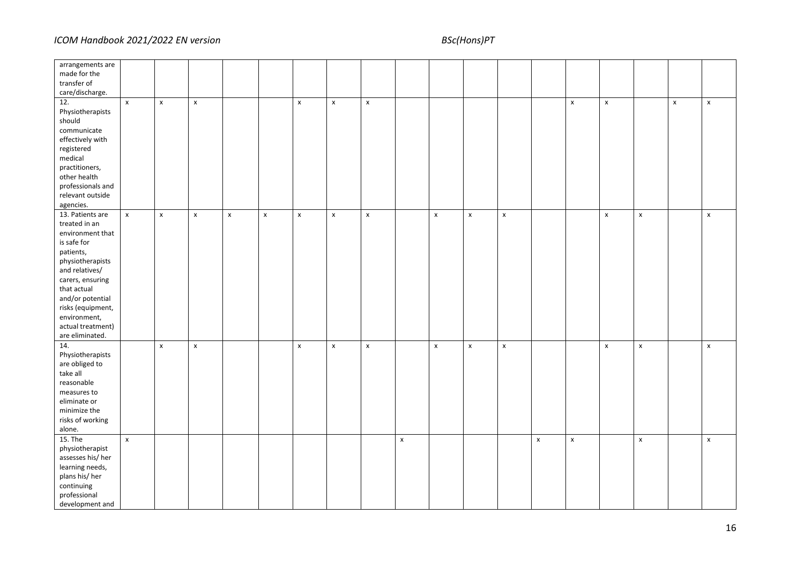| arrangements are<br>made for the<br>transfer of<br>care/discharge.                                                                                                                                                                                          |                    |                    |                    |                    |                    |                    |                    |              |                    |                    |                    |                    |                    |                    |                    |                    |              |                    |
|-------------------------------------------------------------------------------------------------------------------------------------------------------------------------------------------------------------------------------------------------------------|--------------------|--------------------|--------------------|--------------------|--------------------|--------------------|--------------------|--------------|--------------------|--------------------|--------------------|--------------------|--------------------|--------------------|--------------------|--------------------|--------------|--------------------|
| 12.<br>Physiotherapists<br>should<br>communicate<br>effectively with<br>registered<br>medical<br>practitioners,<br>other health<br>professionals and<br>relevant outside<br>agencies.                                                                       | $\pmb{\mathsf{x}}$ | $\pmb{\chi}$       | $\pmb{\mathsf{x}}$ |                    |                    | $\pmb{\chi}$       | $\pmb{\chi}$       | $\pmb{\chi}$ |                    |                    |                    |                    |                    | $\pmb{\mathsf{x}}$ | $\pmb{\mathsf{x}}$ |                    | $\pmb{\chi}$ | $\pmb{\times}$     |
| 13. Patients are<br>treated in an<br>environment that<br>is safe for<br>patients,<br>physiotherapists<br>and relatives/<br>carers, ensuring<br>that actual<br>and/or potential<br>risks (equipment,<br>environment,<br>actual treatment)<br>are eliminated. | $\pmb{\mathsf{x}}$ | $\pmb{\chi}$       | $\pmb{\mathsf{x}}$ | $\pmb{\mathsf{x}}$ | $\pmb{\mathsf{X}}$ | $\pmb{\mathsf{X}}$ | $\pmb{\chi}$       | $\pmb{\chi}$ |                    | $\pmb{\mathsf{x}}$ | $\pmb{\mathsf{x}}$ | $\pmb{\mathsf{x}}$ |                    |                    | $\pmb{\mathsf{x}}$ | $\pmb{\chi}$       |              | $\pmb{\times}$     |
| 14.<br>Physiotherapists<br>are obliged to<br>take all<br>reasonable<br>measures to<br>eliminate or<br>minimize the<br>risks of working<br>alone.                                                                                                            |                    | $\pmb{\mathsf{x}}$ | $\pmb{\mathsf{x}}$ |                    |                    | $\pmb{\mathsf{X}}$ | $\pmb{\mathsf{x}}$ | $\pmb{\chi}$ |                    | $\pmb{\mathsf{x}}$ | $\pmb{\mathsf{x}}$ | $\pmb{\mathsf{x}}$ |                    |                    | $\pmb{\mathsf{x}}$ | $\pmb{\mathsf{x}}$ |              | $\pmb{\mathsf{x}}$ |
| 15. The<br>physiotherapist<br>assesses his/her<br>learning needs,<br>plans his/ her<br>continuing<br>professional<br>development and                                                                                                                        | $\pmb{\mathsf{x}}$ |                    |                    |                    |                    |                    |                    |              | $\pmb{\mathsf{x}}$ |                    |                    |                    | $\pmb{\mathsf{x}}$ | $\pmb{\mathsf{x}}$ |                    | $\pmb{\chi}$       |              | $\pmb{\mathsf{x}}$ |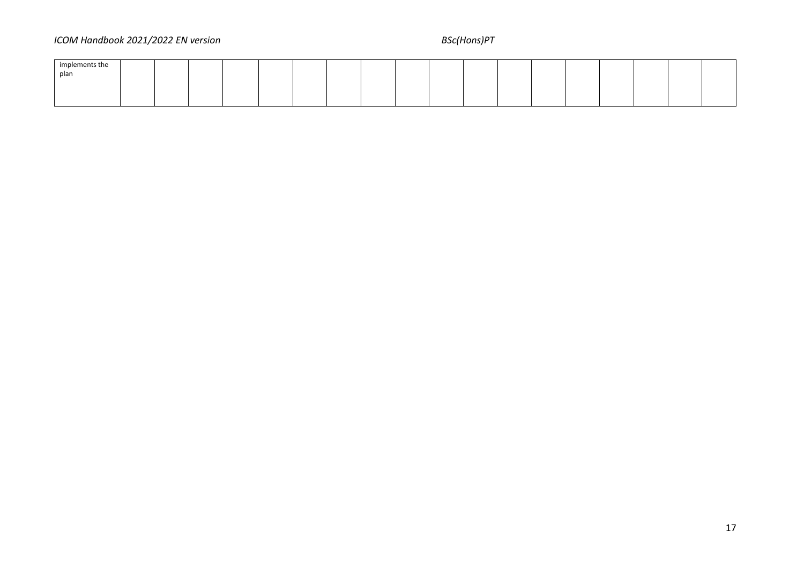# *ICOM Handbook 2021/2022 EN version* BSc(Hons)PT

| implements the |  |  |  |  |  |  |  |  |  |
|----------------|--|--|--|--|--|--|--|--|--|
| plan           |  |  |  |  |  |  |  |  |  |
|                |  |  |  |  |  |  |  |  |  |
|                |  |  |  |  |  |  |  |  |  |
|                |  |  |  |  |  |  |  |  |  |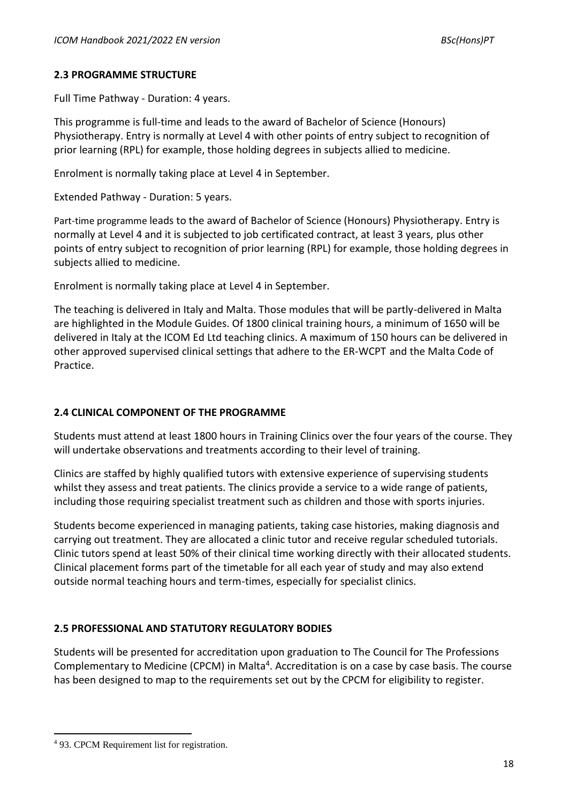# **2.3 PROGRAMME STRUCTURE**

Full Time Pathway - Duration: 4 years.

This programme is full-time and leads to the award of Bachelor of Science (Honours) Physiotherapy. Entry is normally at Level 4 with other points of entry subject to recognition of prior learning (RPL) for example, those holding degrees in subjects allied to medicine.

Enrolment is normally taking place at Level 4 in September.

Extended Pathway - Duration: 5 years.

Part-time programme leads to the award of Bachelor of Science (Honours) Physiotherapy. Entry is normally at Level 4 and it is subjected to job certificated contract, at least 3 years, plus other points of entry subject to recognition of prior learning (RPL) for example, those holding degrees in subjects allied to medicine.

Enrolment is normally taking place at Level 4 in September.

The teaching is delivered in Italy and Malta. Those modules that will be partly-delivered in Malta are highlighted in the Module Guides. Of 1800 clinical training hours, a minimum of 1650 will be delivered in Italy at the ICOM Ed Ltd teaching clinics. A maximum of 150 hours can be delivered in other approved supervised clinical settings that adhere to the ER-WCPT and the Malta Code of Practice.

# **2.4 CLINICAL COMPONENT OF THE PROGRAMME**

Students must attend at least 1800 hours in Training Clinics over the four years of the course. They will undertake observations and treatments according to their level of training.

Clinics are staffed by highly qualified tutors with extensive experience of supervising students whilst they assess and treat patients. The clinics provide a service to a wide range of patients, including those requiring specialist treatment such as children and those with sports injuries.

Students become experienced in managing patients, taking case histories, making diagnosis and carrying out treatment. They are allocated a clinic tutor and receive regular scheduled tutorials. Clinic tutors spend at least 50% of their clinical time working directly with their allocated students. Clinical placement forms part of the timetable for all each year of study and may also extend outside normal teaching hours and term-times, especially for specialist clinics.

# **2.5 PROFESSIONAL AND STATUTORY REGULATORY BODIES**

Students will be presented for accreditation upon graduation to The Council for The Professions Complementary to Medicine (CPCM) in Malta<sup>4</sup>. Accreditation is on a case by case basis. The course has been designed to map to the requirements set out by the CPCM for eligibility to register.

<sup>4</sup> 93. CPCM Requirement list for registration.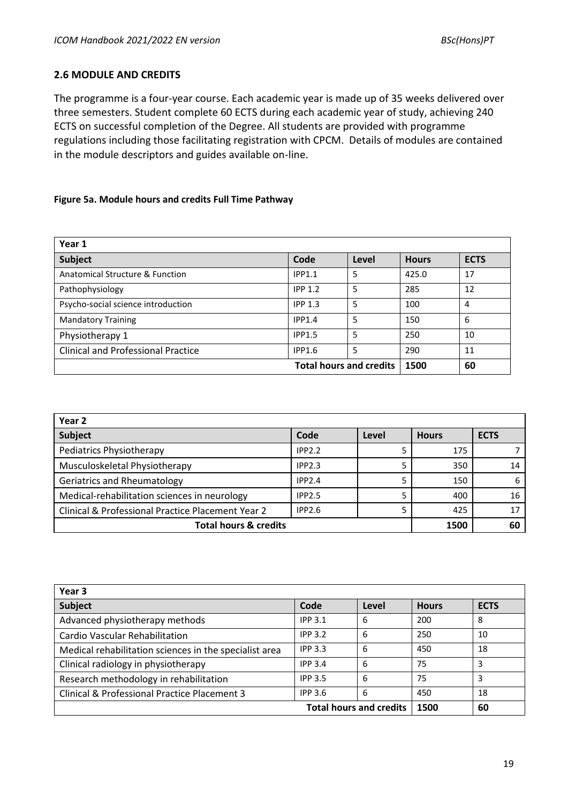### **2.6 MODULE AND CREDITS**

The programme is a four-year course. Each academic year is made up of 35 weeks delivered over three semesters. Student complete 60 ECTS during each academic year of study, achieving 240 ECTS on successful completion of the Degree. All students are provided with programme regulations including those facilitating registration with CPCM. Details of modules are contained in the module descriptors and guides available on-line.

### **Figure 5a. Module hours and credits Full Time Pathway**

| Year 1                                    |                                |       |              |             |
|-------------------------------------------|--------------------------------|-------|--------------|-------------|
| <b>Subject</b>                            | Code                           | Level | <b>Hours</b> | <b>ECTS</b> |
| Anatomical Structure & Function           | IPP1.1                         | 5     | 425.0        | 17          |
| Pathophysiology                           | <b>IPP 1.2</b>                 | 5     | 285          | 12          |
| Psycho-social science introduction        | IPP <sub>1.3</sub>             | 5     | 100          | 4           |
| <b>Mandatory Training</b>                 | IPP1.4                         | 5     | 150          | 6           |
| Physiotherapy 1                           | <b>IPP1.5</b>                  | 5     | 250          | 10          |
| <b>Clinical and Professional Practice</b> | <b>IPP1.6</b>                  | 5     | 290          | 11          |
|                                           | <b>Total hours and credits</b> |       | 1500         | 60          |

| Year <sub>2</sub>                                 |               |       |              |             |
|---------------------------------------------------|---------------|-------|--------------|-------------|
| Subject                                           | Code          | Level | <b>Hours</b> | <b>ECTS</b> |
| <b>Pediatrics Physiotherapy</b>                   | IPP2.2        |       | 175          |             |
| Musculoskeletal Physiotherapy                     | IPP2.3        |       | 350          | 14          |
| <b>Geriatrics and Rheumatology</b>                | IPP2.4        |       | 150          | 6           |
| Medical-rehabilitation sciences in neurology      | <b>IPP2.5</b> |       | 400          | 16          |
| Clinical & Professional Practice Placement Year 2 | <b>IPP2.6</b> |       | 425          | 17          |
| <b>Total hours &amp; credits</b>                  |               |       | 1500         | 60          |

| Year 3                                                 |                |                                |              |             |
|--------------------------------------------------------|----------------|--------------------------------|--------------|-------------|
| Subject                                                | Code           | Level                          | <b>Hours</b> | <b>ECTS</b> |
| Advanced physiotherapy methods                         | <b>IPP 3.1</b> | 6                              | 200          | 8           |
| Cardio Vascular Rehabilitation                         | <b>IPP 3.2</b> | 6                              | 250          | 10          |
| Medical rehabilitation sciences in the specialist area | <b>IPP 3.3</b> | 6                              | 450          | 18          |
| Clinical radiology in physiotherapy                    | <b>IPP 3.4</b> | 6                              | 75           | 3           |
| Research methodology in rehabilitation                 | <b>IPP 3.5</b> | 6                              | 75           | 3           |
| Clinical & Professional Practice Placement 3           | <b>IPP 3.6</b> | 6                              | 450          | 18          |
|                                                        |                | <b>Total hours and credits</b> | 1500         | 60          |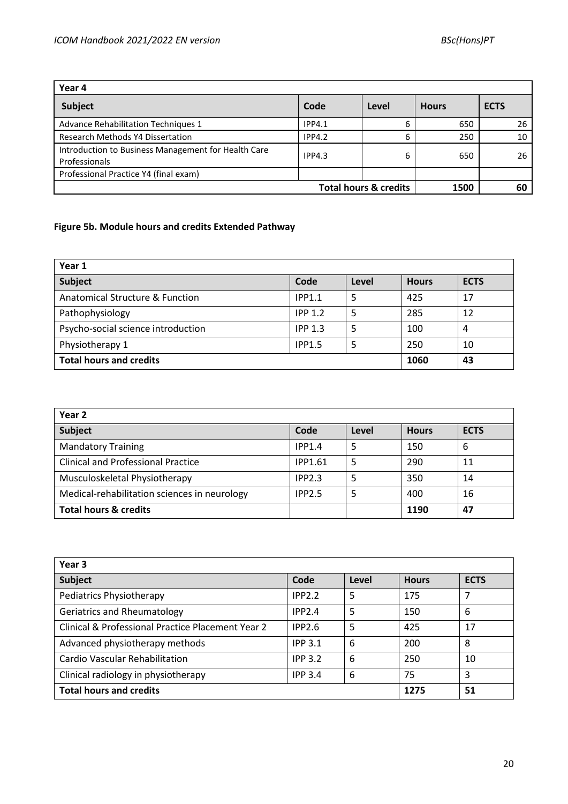| Year 4                                                               |               |                                  |              |             |
|----------------------------------------------------------------------|---------------|----------------------------------|--------------|-------------|
| Subject                                                              | Code          | Level                            | <b>Hours</b> | <b>ECTS</b> |
| Advance Rehabilitation Techniques 1                                  | <b>IPP4.1</b> | 6                                | 650          | 26          |
| <b>Research Methods Y4 Dissertation</b>                              | IPP4.2        |                                  | 250          | 10          |
| Introduction to Business Management for Health Care<br>Professionals | IPP4.3        | 6                                | 650          | 26          |
| Professional Practice Y4 (final exam)                                |               |                                  |              |             |
|                                                                      |               | <b>Total hours &amp; credits</b> | 1500         | 60          |

# **Figure 5b. Module hours and credits Extended Pathway**

| Year 1                             |                    |       |              |             |  |  |  |  |  |
|------------------------------------|--------------------|-------|--------------|-------------|--|--|--|--|--|
| Subject                            | Code               | Level | <b>Hours</b> | <b>ECTS</b> |  |  |  |  |  |
| Anatomical Structure & Function    | IPP1.1             |       | 425          | 17          |  |  |  |  |  |
| Pathophysiology                    | <b>IPP 1.2</b>     |       | 285          | 12          |  |  |  |  |  |
| Psycho-social science introduction | IPP <sub>1.3</sub> | 5     | 100          | 4           |  |  |  |  |  |
| Physiotherapy 1                    | <b>IPP1.5</b>      |       | 250          | 10          |  |  |  |  |  |
| <b>Total hours and credits</b>     |                    |       | 1060         | 43          |  |  |  |  |  |

| Year <sub>2</sub>                            |                |       |              |             |
|----------------------------------------------|----------------|-------|--------------|-------------|
| <b>Subject</b>                               | Code           | Level | <b>Hours</b> | <b>ECTS</b> |
| <b>Mandatory Training</b>                    | IPP1.4         | 5     | 150          | -6          |
| <b>Clinical and Professional Practice</b>    | <b>IPP1.61</b> | 5     | 290          | 11          |
| Musculoskeletal Physiotherapy                | IPP2.3         | 5     | 350          | 14          |
| Medical-rehabilitation sciences in neurology | <b>IPP2.5</b>  | 5     | 400          | 16          |
| <b>Total hours &amp; credits</b>             |                |       | 1190         | 47          |

| Year 3                                            |                |       |              |             |  |  |  |  |  |
|---------------------------------------------------|----------------|-------|--------------|-------------|--|--|--|--|--|
| Subject                                           | Code           | Level | <b>Hours</b> | <b>ECTS</b> |  |  |  |  |  |
| Pediatrics Physiotherapy                          | IPP2.2         | 5     | 175          | 7           |  |  |  |  |  |
| Geriatrics and Rheumatology                       | IPP2.4         | 5     | 150          | 6           |  |  |  |  |  |
| Clinical & Professional Practice Placement Year 2 | IPP2.6         | 5     | 425          | 17          |  |  |  |  |  |
| Advanced physiotherapy methods                    | <b>IPP 3.1</b> | 6     | 200          | 8           |  |  |  |  |  |
| Cardio Vascular Rehabilitation                    | <b>IPP 3.2</b> | 6     | 250          | 10          |  |  |  |  |  |
| Clinical radiology in physiotherapy               | <b>IPP 3.4</b> | 6     | 75           | 3           |  |  |  |  |  |
| <b>Total hours and credits</b>                    |                |       | 1275         | 51          |  |  |  |  |  |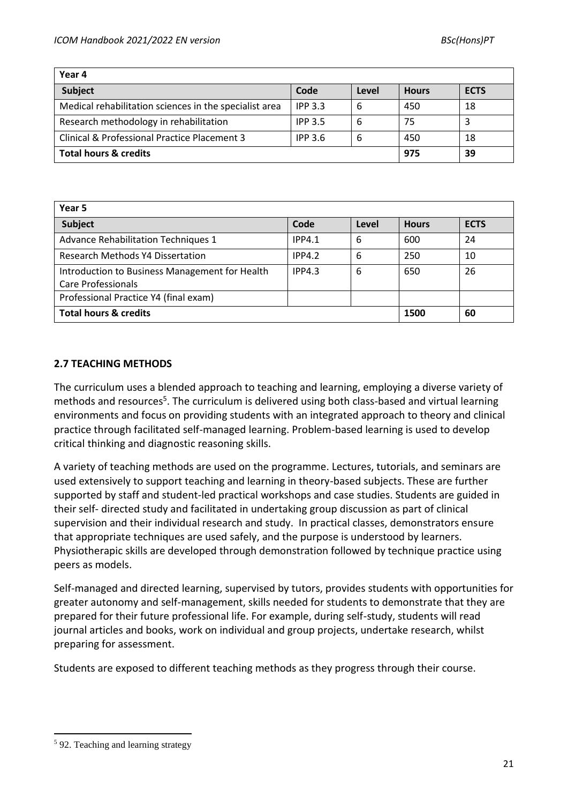| Year 4                                                 |                |       |              |             |  |  |  |  |  |
|--------------------------------------------------------|----------------|-------|--------------|-------------|--|--|--|--|--|
| <b>Subject</b>                                         | Code           | Level | <b>Hours</b> | <b>ECTS</b> |  |  |  |  |  |
| Medical rehabilitation sciences in the specialist area | <b>IPP 3.3</b> | 6     | 450          | 18          |  |  |  |  |  |
| Research methodology in rehabilitation                 | <b>IPP 3.5</b> | 6     | 75           |             |  |  |  |  |  |
| Clinical & Professional Practice Placement 3           | <b>IPP 3.6</b> | 6     | 450          | 18          |  |  |  |  |  |
| <b>Total hours &amp; credits</b>                       |                |       | 975          | 39          |  |  |  |  |  |

| Year 5                                                                      |               |       |              |             |  |  |  |  |  |
|-----------------------------------------------------------------------------|---------------|-------|--------------|-------------|--|--|--|--|--|
| <b>Subject</b>                                                              | Code          | Level | <b>Hours</b> | <b>ECTS</b> |  |  |  |  |  |
| Advance Rehabilitation Techniques 1                                         | <b>IPP4.1</b> | 6     | 600          | 24          |  |  |  |  |  |
| <b>Research Methods Y4 Dissertation</b>                                     | IPP4.2        | 6     | 250          | 10          |  |  |  |  |  |
| Introduction to Business Management for Health<br><b>Care Professionals</b> | IPP4.3        | 6     | 650          | 26          |  |  |  |  |  |
| Professional Practice Y4 (final exam)                                       |               |       |              |             |  |  |  |  |  |
| <b>Total hours &amp; credits</b>                                            |               |       | 1500         | 60          |  |  |  |  |  |

# **2.7 TEACHING METHODS**

The curriculum uses a blended approach to teaching and learning, employing a diverse variety of methods and resources<sup>5</sup>. The curriculum is delivered using both class-based and virtual learning environments and focus on providing students with an integrated approach to theory and clinical practice through facilitated self-managed learning. Problem-based learning is used to develop critical thinking and diagnostic reasoning skills.

A variety of teaching methods are used on the programme. Lectures, tutorials, and seminars are used extensively to support teaching and learning in theory-based subjects. These are further supported by staff and student-led practical workshops and case studies. Students are guided in their self- directed study and facilitated in undertaking group discussion as part of clinical supervision and their individual research and study. In practical classes, demonstrators ensure that appropriate techniques are used safely, and the purpose is understood by learners. Physiotherapic skills are developed through demonstration followed by technique practice using peers as models.

Self-managed and directed learning, supervised by tutors, provides students with opportunities for greater autonomy and self-management, skills needed for students to demonstrate that they are prepared for their future professional life. For example, during self-study, students will read journal articles and books, work on individual and group projects, undertake research, whilst preparing for assessment.

Students are exposed to different teaching methods as they progress through their course.

<sup>5</sup> 92. Teaching and learning strategy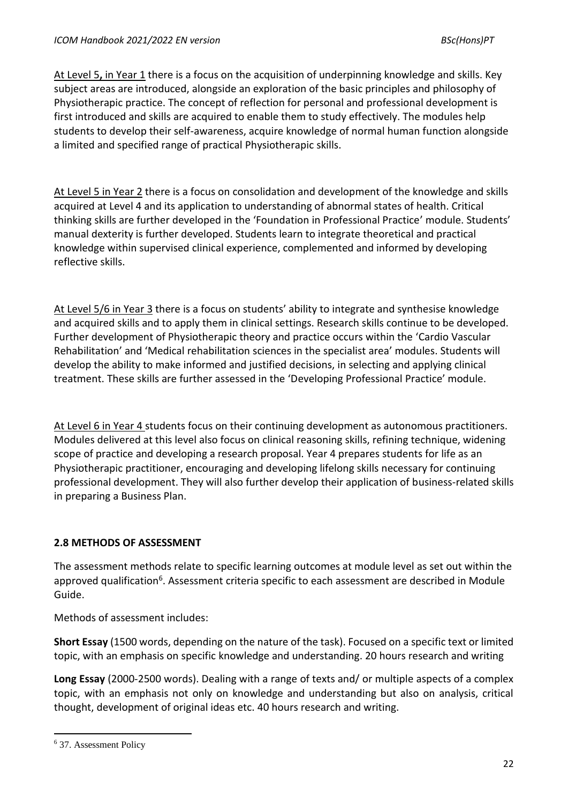At Level 5**,** in Year 1 there is a focus on the acquisition of underpinning knowledge and skills. Key subject areas are introduced, alongside an exploration of the basic principles and philosophy of Physiotherapic practice. The concept of reflection for personal and professional development is first introduced and skills are acquired to enable them to study effectively. The modules help students to develop their self-awareness, acquire knowledge of normal human function alongside a limited and specified range of practical Physiotherapic skills.

At Level 5 in Year 2 there is a focus on consolidation and development of the knowledge and skills acquired at Level 4 and its application to understanding of abnormal states of health. Critical thinking skills are further developed in the 'Foundation in Professional Practice' module. Students' manual dexterity is further developed. Students learn to integrate theoretical and practical knowledge within supervised clinical experience, complemented and informed by developing reflective skills.

At Level 5/6 in Year 3 there is a focus on students' ability to integrate and synthesise knowledge and acquired skills and to apply them in clinical settings. Research skills continue to be developed. Further development of Physiotherapic theory and practice occurs within the 'Cardio Vascular Rehabilitation' and 'Medical rehabilitation sciences in the specialist area' modules. Students will develop the ability to make informed and justified decisions, in selecting and applying clinical treatment. These skills are further assessed in the 'Developing Professional Practice' module.

At Level 6 in Year 4 students focus on their continuing development as autonomous practitioners. Modules delivered at this level also focus on clinical reasoning skills, refining technique, widening scope of practice and developing a research proposal. Year 4 prepares students for life as an Physiotherapic practitioner, encouraging and developing lifelong skills necessary for continuing professional development. They will also further develop their application of business-related skills in preparing a Business Plan.

# **2.8 METHODS OF ASSESSMENT**

The assessment methods relate to specific learning outcomes at module level as set out within the approved qualification<sup>6</sup>. Assessment criteria specific to each assessment are described in Module Guide.

Methods of assessment includes:

**Short Essay** (1500 words, depending on the nature of the task). Focused on a specific text or limited topic, with an emphasis on specific knowledge and understanding. 20 hours research and writing

**Long Essay** (2000-2500 words). Dealing with a range of texts and/ or multiple aspects of a complex topic, with an emphasis not only on knowledge and understanding but also on analysis, critical thought, development of original ideas etc. 40 hours research and writing.

<sup>6</sup> 37. Assessment Policy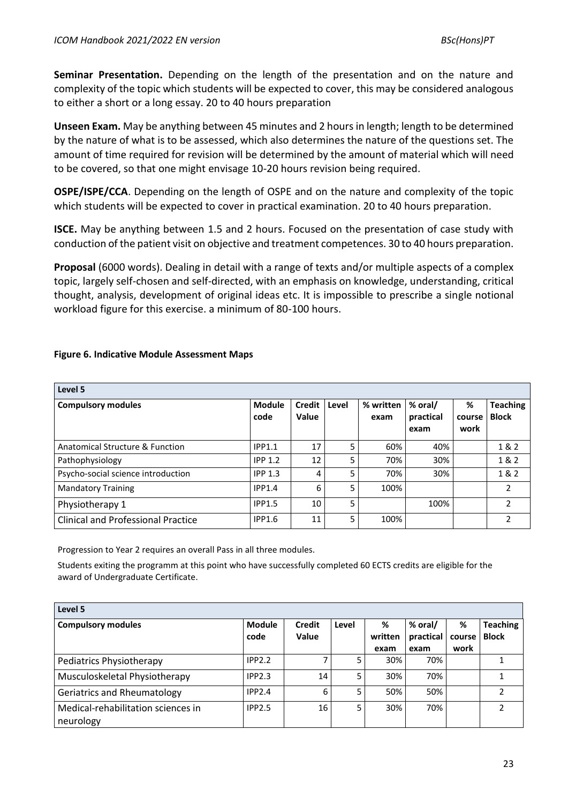**Seminar Presentation.** Depending on the length of the presentation and on the nature and complexity of the topic which students will be expected to cover, this may be considered analogous to either a short or a long essay. 20 to 40 hours preparation

**Unseen Exam.** May be anything between 45 minutes and 2 hours in length; length to be determined by the nature of what is to be assessed, which also determines the nature of the questions set. The amount of time required for revision will be determined by the amount of material which will need to be covered, so that one might envisage 10-20 hours revision being required.

**OSPE/ISPE/CCA**. Depending on the length of OSPE and on the nature and complexity of the topic which students will be expected to cover in practical examination. 20 to 40 hours preparation.

**ISCE.** May be anything between 1.5 and 2 hours. Focused on the presentation of case study with conduction of the patient visit on objective and treatment competences. 30 to 40 hours preparation.

**Proposal** (6000 words). Dealing in detail with a range of texts and/or multiple aspects of a complex topic, largely self-chosen and self-directed, with an emphasis on knowledge, understanding, critical thought, analysis, development of original ideas etc. It is impossible to prescribe a single notional workload figure for this exercise. a minimum of 80-100 hours.

| Level 5                                   |                       |                        |       |                   |                              |                     |                                 |
|-------------------------------------------|-----------------------|------------------------|-------|-------------------|------------------------------|---------------------|---------------------------------|
| <b>Compulsory modules</b>                 | <b>Module</b><br>code | Credit<br><b>Value</b> | Level | % written<br>exam | % oral/<br>practical<br>exam | %<br>course<br>work | <b>Teaching</b><br><b>Block</b> |
| Anatomical Structure & Function           | IPP1.1                | 17                     | 5     | 60%               | 40%                          |                     | 1 & 2                           |
| Pathophysiology                           | <b>IPP 1.2</b>        | 12                     | 5     | 70%               | 30%                          |                     | 1&2                             |
| Psycho-social science introduction        | IPP <sub>1.3</sub>    | 4                      | 5     | 70%               | 30%                          |                     | 1&2                             |
| <b>Mandatory Training</b>                 | IPP1.4                | 6                      | 5     | 100%              |                              |                     | 2                               |
| Physiotherapy 1                           | <b>IPP1.5</b>         | 10                     | 5     |                   | 100%                         |                     | 2                               |
| <b>Clinical and Professional Practice</b> | <b>IPP1.6</b>         | 11                     | 5.    | 100%              |                              |                     |                                 |

# **Figure 6. Indicative Module Assessment Maps**

Progression to Year 2 requires an overall Pass in all three modules.

Students exiting the programm at this point who have successfully completed 60 ECTS credits are eligible for the award of Undergraduate Certificate.

| Level 5                                         |                |                 |       |                      |                              |                     |                                 |
|-------------------------------------------------|----------------|-----------------|-------|----------------------|------------------------------|---------------------|---------------------------------|
| <b>Compulsory modules</b>                       | Module<br>code | Credit<br>Value | Level | %<br>written<br>exam | % oral/<br>practical<br>exam | %<br>course<br>work | <b>Teaching</b><br><b>Block</b> |
| Pediatrics Physiotherapy                        | IPP2.2         |                 | 5     | 30%                  | 70%                          |                     |                                 |
| Musculoskeletal Physiotherapy                   | <b>IPP2.3</b>  | 14              | 5     | 30%                  | 70%                          |                     |                                 |
| <b>Geriatrics and Rheumatology</b>              | IPP2.4         | 6               | 5     | 50%                  | 50%                          |                     |                                 |
| Medical-rehabilitation sciences in<br>neurology | <b>IPP2.5</b>  | 16              | 5     | 30%                  | 70%                          |                     |                                 |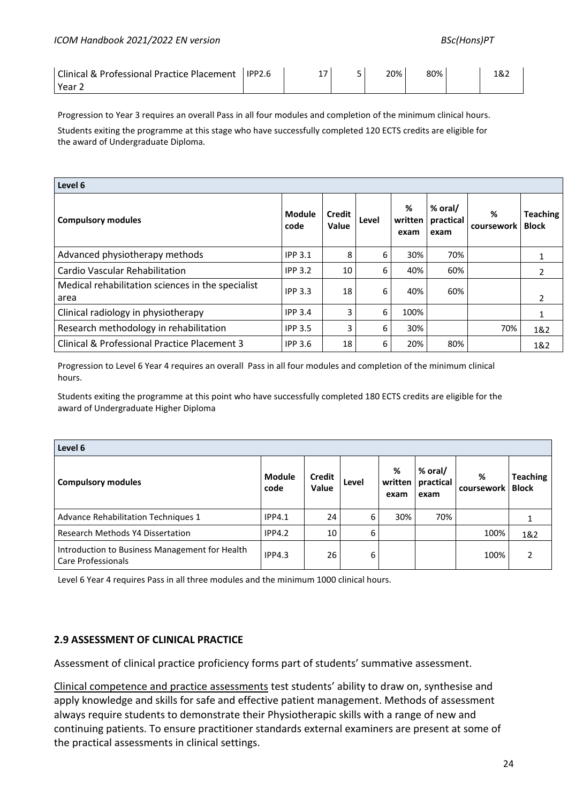| <b>Clinical &amp; Professional Practice Placement</b> | <b>IPP2.6</b> | ∸ / | 20% | 80% | 182 |
|-------------------------------------------------------|---------------|-----|-----|-----|-----|
| Year.                                                 |               |     |     |     |     |

Progression to Year 3 requires an overall Pass in all four modules and completion of the minimum clinical hours. Students exiting the programme at this stage who have successfully completed 120 ECTS credits are eligible for the award of Undergraduate Diploma.

| Level 6                                                   |                       |                        |       |                        |                              |                 |                                 |
|-----------------------------------------------------------|-----------------------|------------------------|-------|------------------------|------------------------------|-----------------|---------------------------------|
| <b>Compulsory modules</b>                                 | <b>Module</b><br>code | <b>Credit</b><br>Value | Level | %<br>written l<br>exam | % oral/<br>practical<br>exam | %<br>coursework | <b>Teaching</b><br><b>Block</b> |
| Advanced physiotherapy methods                            | <b>IPP 3.1</b>        | 8                      | 6     | 30%                    | 70%                          |                 |                                 |
| <b>Cardio Vascular Rehabilitation</b>                     | <b>IPP 3.2</b>        | 10                     | 6     | 40%                    | 60%                          |                 | 2                               |
| Medical rehabilitation sciences in the specialist<br>area | <b>IPP 3.3</b>        | 18                     | 6     | 40%                    | 60%                          |                 |                                 |
| Clinical radiology in physiotherapy                       | <b>IPP 3.4</b>        | 3                      | 6     | 100%                   |                              |                 |                                 |
| Research methodology in rehabilitation                    | <b>IPP 3.5</b>        | 3                      | 6     | 30%                    |                              | 70%             | 1&2                             |
| Clinical & Professional Practice Placement 3              | <b>IPP 3.6</b>        | 18                     | 6     | 20%                    | 80%                          |                 | 1&2                             |

Progression to Level 6 Year 4 requires an overall Pass in all four modules and completion of the minimum clinical hours.

Students exiting the programme at this point who have successfully completed 180 ECTS credits are eligible for the award of Undergraduate Higher Diploma

| Level 6                                                              |                |                        |       |                      |                              |                 |                                 |
|----------------------------------------------------------------------|----------------|------------------------|-------|----------------------|------------------------------|-----------------|---------------------------------|
| <b>Compulsory modules</b>                                            | Module<br>code | <b>Credit</b><br>Value | Level | %<br>written<br>exam | % oral/<br>practical<br>exam | %<br>coursework | <b>Teaching</b><br><b>Block</b> |
| Advance Rehabilitation Techniques 1                                  | <b>IPP4.1</b>  | 24                     | 6     | 30%                  | 70%                          |                 |                                 |
| Research Methods Y4 Dissertation                                     | IPP4.2         | 10                     | 6     |                      |                              | 100%            | 1&2                             |
| Introduction to Business Management for Health<br>Care Professionals | IPP4.3         | 26                     | 6     |                      |                              | 100%            | $\mathcal{P}$                   |

Level 6 Year 4 requires Pass in all three modules and the minimum 1000 clinical hours.

#### **2.9 ASSESSMENT OF CLINICAL PRACTICE**

Assessment of clinical practice proficiency forms part of students' summative assessment.

Clinical competence and practice assessments test students' ability to draw on, synthesise and apply knowledge and skills for safe and effective patient management. Methods of assessment always require students to demonstrate their Physiotherapic skills with a range of new and continuing patients. To ensure practitioner standards external examiners are present at some of the practical assessments in clinical settings.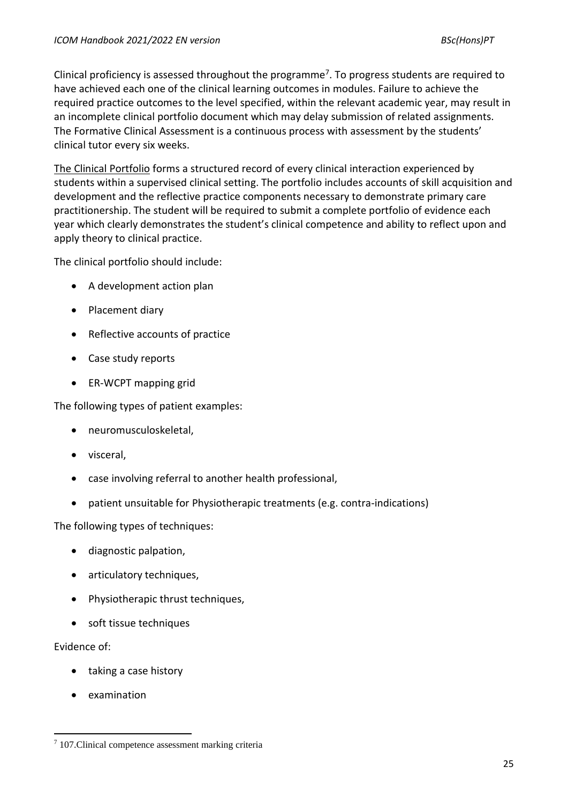Clinical proficiency is assessed throughout the programme<sup>7</sup>. To progress students are required to have achieved each one of the clinical learning outcomes in modules. Failure to achieve the required practice outcomes to the level specified, within the relevant academic year, may result in an incomplete clinical portfolio document which may delay submission of related assignments. The Formative Clinical Assessment is a continuous process with assessment by the students' clinical tutor every six weeks.

The Clinical Portfolio forms a structured record of every clinical interaction experienced by students within a supervised clinical setting. The portfolio includes accounts of skill acquisition and development and the reflective practice components necessary to demonstrate primary care practitionership. The student will be required to submit a complete portfolio of evidence each year which clearly demonstrates the student's clinical competence and ability to reflect upon and apply theory to clinical practice.

The clinical portfolio should include:

- A development action plan
- Placement diary
- Reflective accounts of practice
- Case study reports
- ER-WCPT mapping grid

The following types of patient examples:

- neuromusculoskeletal,
- visceral,
- case involving referral to another health professional,
- patient unsuitable for Physiotherapic treatments (e.g. contra-indications)

The following types of techniques:

- diagnostic palpation,
- articulatory techniques,
- Physiotherapic thrust techniques,
- soft tissue techniques

# Evidence of:

- taking a case history
- examination

<sup>7</sup> 107.Clinical competence assessment marking criteria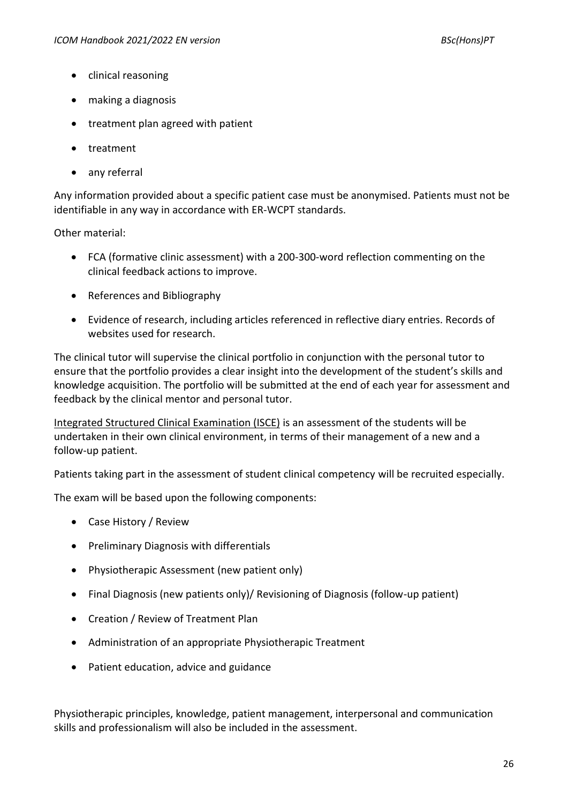- clinical reasoning
- making a diagnosis
- treatment plan agreed with patient
- treatment
- any referral

Any information provided about a specific patient case must be anonymised. Patients must not be identifiable in any way in accordance with ER-WCPT standards.

Other material:

- FCA (formative clinic assessment) with a 200-300-word reflection commenting on the clinical feedback actions to improve.
- References and Bibliography
- Evidence of research, including articles referenced in reflective diary entries. Records of websites used for research.

The clinical tutor will supervise the clinical portfolio in conjunction with the personal tutor to ensure that the portfolio provides a clear insight into the development of the student's skills and knowledge acquisition. The portfolio will be submitted at the end of each year for assessment and feedback by the clinical mentor and personal tutor.

Integrated Structured Clinical Examination (ISCE) is an assessment of the students will be undertaken in their own clinical environment, in terms of their management of a new and a follow-up patient.

Patients taking part in the assessment of student clinical competency will be recruited especially.

The exam will be based upon the following components:

- Case History / Review
- Preliminary Diagnosis with differentials
- Physiotherapic Assessment (new patient only)
- Final Diagnosis (new patients only)/ Revisioning of Diagnosis (follow-up patient)
- Creation / Review of Treatment Plan
- Administration of an appropriate Physiotherapic Treatment
- Patient education, advice and guidance

Physiotherapic principles, knowledge, patient management, interpersonal and communication skills and professionalism will also be included in the assessment.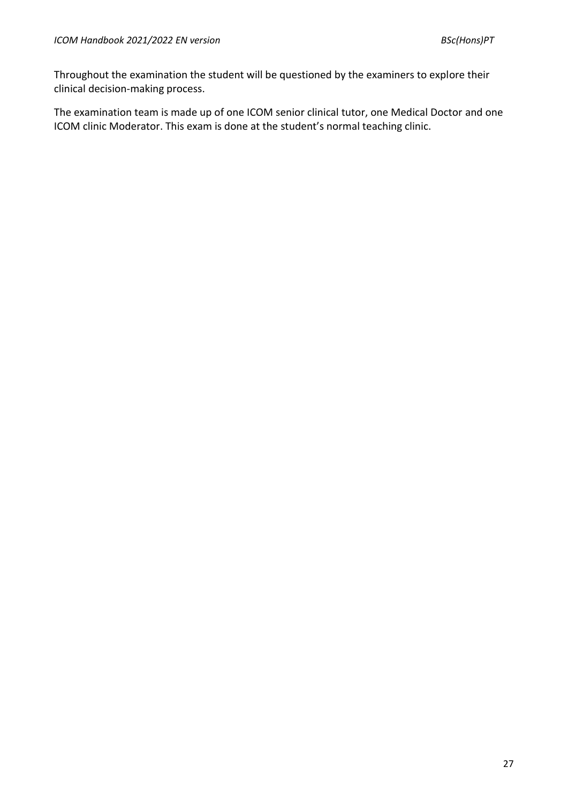Throughout the examination the student will be questioned by the examiners to explore their clinical decision-making process.

The examination team is made up of one ICOM senior clinical tutor, one Medical Doctor and one ICOM clinic Moderator. This exam is done at the student's normal teaching clinic.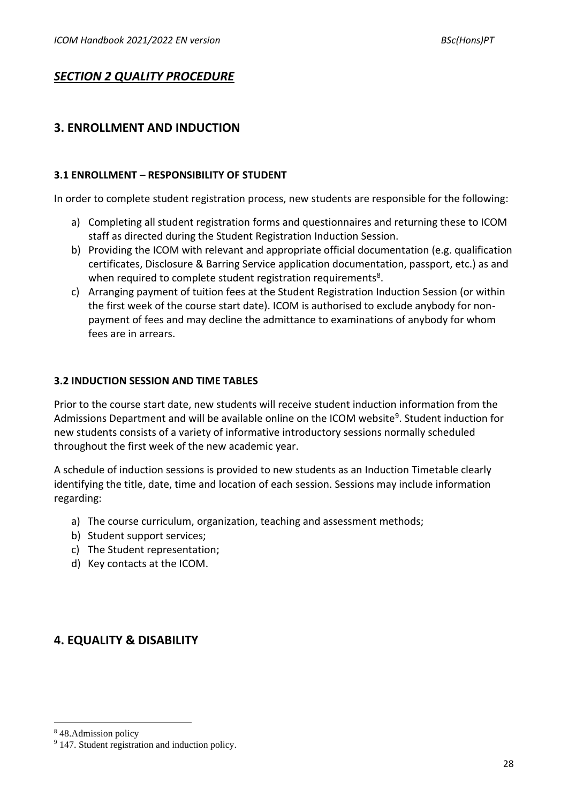# *SECTION 2 QUALITY PROCEDURE*

# **3. ENROLLMENT AND INDUCTION**

# **3.1 ENROLLMENT – RESPONSIBILITY OF STUDENT**

In order to complete student registration process, new students are responsible for the following:

- a) Completing all student registration forms and questionnaires and returning these to ICOM staff as directed during the Student Registration Induction Session.
- b) Providing the ICOM with relevant and appropriate official documentation (e.g. qualification certificates, Disclosure & Barring Service application documentation, passport, etc.) as and when required to complete student registration requirements<sup>8</sup>.
- c) Arranging payment of tuition fees at the Student Registration Induction Session (or within the first week of the course start date). ICOM is authorised to exclude anybody for nonpayment of fees and may decline the admittance to examinations of anybody for whom fees are in arrears.

# **3.2 INDUCTION SESSION AND TIME TABLES**

Prior to the course start date, new students will receive student induction information from the Admissions Department and will be available online on the ICOM website<sup>9</sup>. Student induction for new students consists of a variety of informative introductory sessions normally scheduled throughout the first week of the new academic year.

A schedule of induction sessions is provided to new students as an Induction Timetable clearly identifying the title, date, time and location of each session. Sessions may include information regarding:

- a) The course curriculum, organization, teaching and assessment methods;
- b) Student support services;
- c) The Student representation;
- d) Key contacts at the ICOM.

# **4. EQUALITY & DISABILITY**

<sup>8</sup> 48.Admission policy

<sup>&</sup>lt;sup>9</sup> 147. Student registration and induction policy.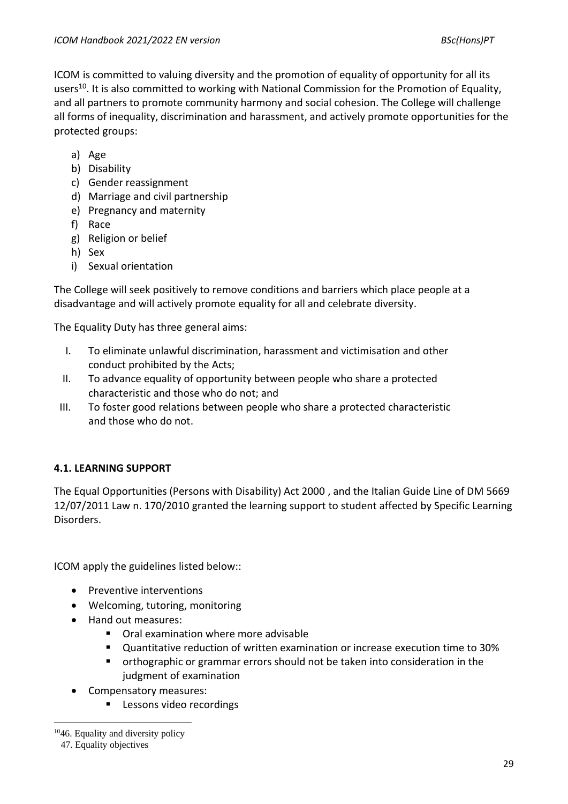ICOM is committed to valuing diversity and the promotion of equality of opportunity for all its users<sup>10</sup>. It is also committed to working with National Commission for the Promotion of Equality, and all partners to promote community harmony and social cohesion. The College will challenge all forms of inequality, discrimination and harassment, and actively promote opportunities for the protected groups:

- a) Age
- b) Disability
- c) Gender reassignment
- d) Marriage and civil partnership
- e) Pregnancy and maternity
- f) Race
- g) Religion or belief
- h) Sex
- i) Sexual orientation

The College will seek positively to remove conditions and barriers which place people at a disadvantage and will actively promote equality for all and celebrate diversity.

The Equality Duty has three general aims:

- I. To eliminate unlawful discrimination, harassment and victimisation and other conduct prohibited by the Acts;
- II. To advance equality of opportunity between people who share a protected characteristic and those who do not; and
- III. To foster good relations between people who share a protected characteristic and those who do not.

# **4.1. LEARNING SUPPORT**

The Equal Opportunities (Persons with Disability) Act 2000 , and the Italian Guide Line of DM 5669 12/07/2011 Law n. 170/2010 granted the learning support to student affected by Specific Learning Disorders.

ICOM apply the guidelines listed below::

- Preventive interventions
- Welcoming, tutoring, monitoring
- Hand out measures:
	- Oral examination where more advisable
	- Quantitative reduction of written examination or increase execution time to 30%
	- orthographic or grammar errors should not be taken into consideration in the judgment of examination
- Compensatory measures:
	- Lessons video recordings

<sup>&</sup>lt;sup>10</sup>46. Equality and diversity policy

<sup>47.</sup> Equality objectives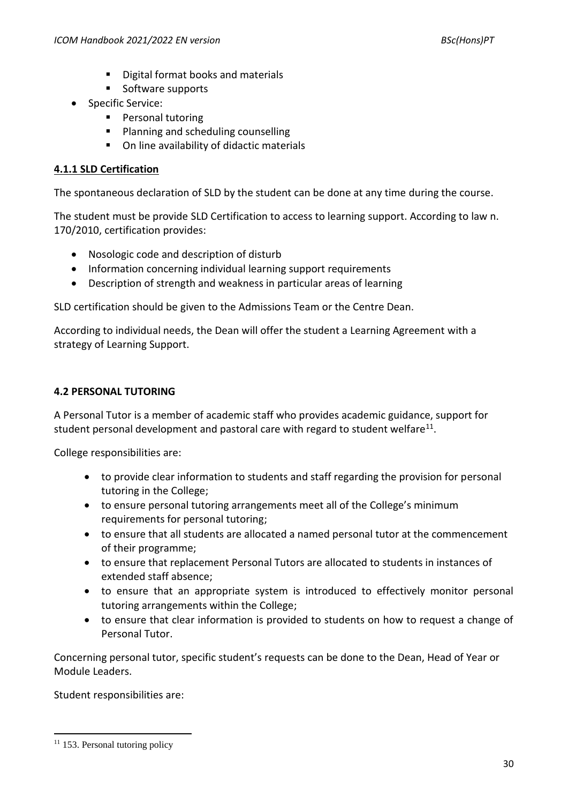- Digital format books and materials
- Software supports
- Specific Service:
	- Personal tutoring
	- Planning and scheduling counselling
	- On line availability of didactic materials

# **4.1.1 SLD Certification**

The spontaneous declaration of SLD by the student can be done at any time during the course.

The student must be provide SLD Certification to access to learning support. According to law n. 170/2010, certification provides:

- Nosologic code and description of disturb
- Information concerning individual learning support requirements
- Description of strength and weakness in particular areas of learning

SLD certification should be given to the Admissions Team or the Centre Dean.

According to individual needs, the Dean will offer the student a Learning Agreement with a strategy of Learning Support.

# **4.2 PERSONAL TUTORING**

A Personal Tutor is a member of academic staff who provides academic guidance, support for student personal development and pastoral care with regard to student welfare<sup>11</sup>.

College responsibilities are:

- to provide clear information to students and staff regarding the provision for personal tutoring in the College;
- to ensure personal tutoring arrangements meet all of the College's minimum requirements for personal tutoring;
- to ensure that all students are allocated a named personal tutor at the commencement of their programme;
- to ensure that replacement Personal Tutors are allocated to students in instances of extended staff absence;
- to ensure that an appropriate system is introduced to effectively monitor personal tutoring arrangements within the College;
- to ensure that clear information is provided to students on how to request a change of Personal Tutor.

Concerning personal tutor, specific student's requests can be done to the Dean, Head of Year or Module Leaders.

Student responsibilities are:

<sup>&</sup>lt;sup>11</sup> 153. Personal tutoring policy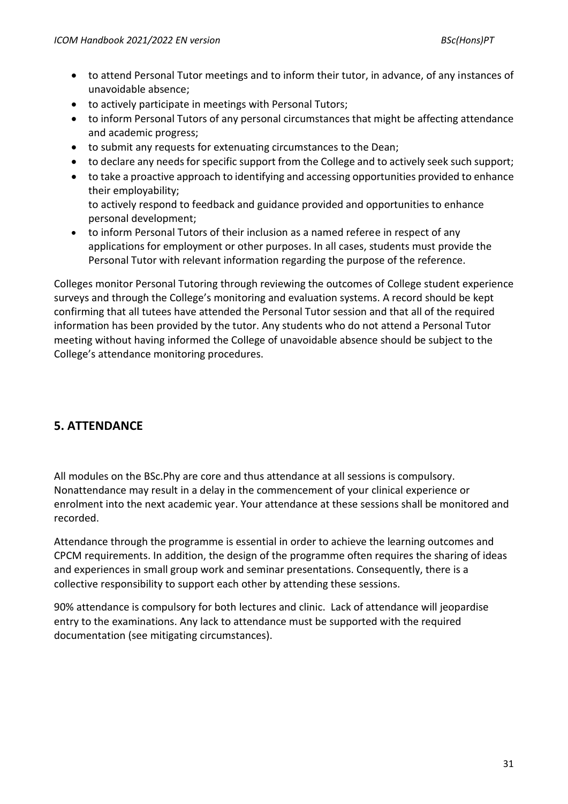- to attend Personal Tutor meetings and to inform their tutor, in advance, of any instances of unavoidable absence;
- to actively participate in meetings with Personal Tutors;
- to inform Personal Tutors of any personal circumstances that might be affecting attendance and academic progress;
- to submit any requests for extenuating circumstances to the Dean;
- to declare any needs for specific support from the College and to actively seek such support;
- to take a proactive approach to identifying and accessing opportunities provided to enhance their employability;

to actively respond to feedback and guidance provided and opportunities to enhance personal development;

• to inform Personal Tutors of their inclusion as a named referee in respect of any applications for employment or other purposes. In all cases, students must provide the Personal Tutor with relevant information regarding the purpose of the reference.

Colleges monitor Personal Tutoring through reviewing the outcomes of College student experience surveys and through the College's monitoring and evaluation systems. A record should be kept confirming that all tutees have attended the Personal Tutor session and that all of the required information has been provided by the tutor. Any students who do not attend a Personal Tutor meeting without having informed the College of unavoidable absence should be subject to the College's attendance monitoring procedures.

# **5. ATTENDANCE**

All modules on the BSc.Phy are core and thus attendance at all sessions is compulsory. Nonattendance may result in a delay in the commencement of your clinical experience or enrolment into the next academic year. Your attendance at these sessions shall be monitored and recorded.

Attendance through the programme is essential in order to achieve the learning outcomes and CPCM requirements. In addition, the design of the programme often requires the sharing of ideas and experiences in small group work and seminar presentations. Consequently, there is a collective responsibility to support each other by attending these sessions.

90% attendance is compulsory for both lectures and clinic. Lack of attendance will jeopardise entry to the examinations. Any lack to attendance must be supported with the required documentation (see mitigating circumstances).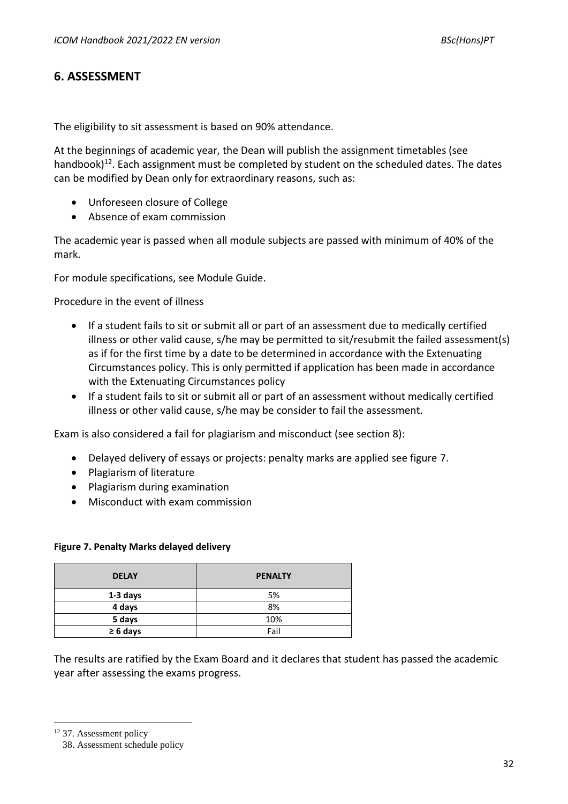# **6. ASSESSMENT**

The eligibility to sit assessment is based on 90% attendance.

At the beginnings of academic year, the Dean will publish the assignment timetables (see handbook)<sup>12</sup>. Each assignment must be completed by student on the scheduled dates. The dates can be modified by Dean only for extraordinary reasons, such as:

- Unforeseen closure of College
- Absence of exam commission

The academic year is passed when all module subjects are passed with minimum of 40% of the mark.

For module specifications, see Module Guide.

Procedure in the event of illness

- If a student fails to sit or submit all or part of an assessment due to medically certified illness or other valid cause, s/he may be permitted to sit/resubmit the failed assessment(s) as if for the first time by a date to be determined in accordance with the Extenuating Circumstances policy. This is only permitted if application has been made in accordance with the Extenuating Circumstances policy
- If a student fails to sit or submit all or part of an assessment without medically certified illness or other valid cause, s/he may be consider to fail the assessment.

Exam is also considered a fail for plagiarism and misconduct (see section 8):

- Delayed delivery of essays or projects: penalty marks are applied see figure 7.
- Plagiarism of literature
- Plagiarism during examination
- Misconduct with exam commission

#### **Figure 7. Penalty Marks delayed delivery**

| <b>DELAY</b>  | <b>PENALTY</b> |
|---------------|----------------|
| 1-3 days      | 5%             |
| 4 days        | 8%             |
| 5 days        | 10%            |
| $\geq 6$ days | Fail           |

The results are ratified by the Exam Board and it declares that student has passed the academic year after assessing the exams progress.

<sup>12</sup> 37. Assessment policy

<sup>38.</sup> Assessment schedule policy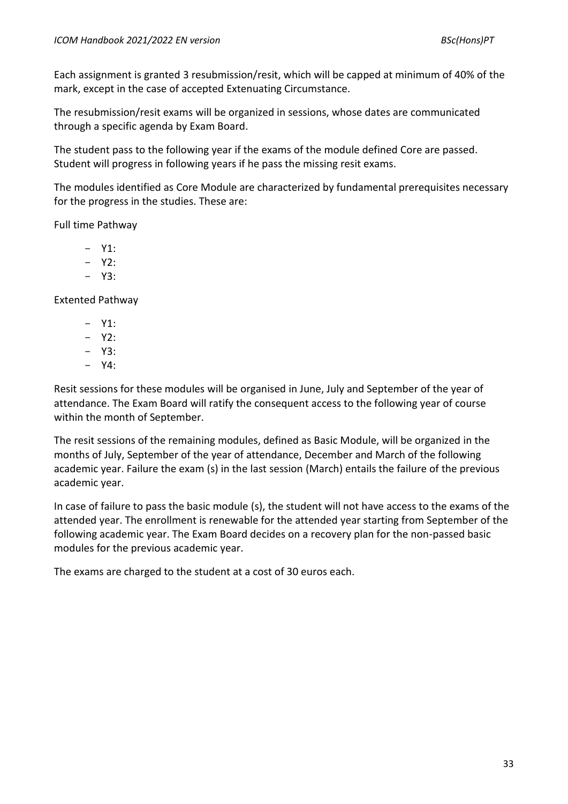Each assignment is granted 3 resubmission/resit, which will be capped at minimum of 40% of the mark, except in the case of accepted Extenuating Circumstance.

The resubmission/resit exams will be organized in sessions, whose dates are communicated through a specific agenda by Exam Board.

The student pass to the following year if the exams of the module defined Core are passed. Student will progress in following years if he pass the missing resit exams.

The modules identified as Core Module are characterized by fundamental prerequisites necessary for the progress in the studies. These are:

Full time Pathway

- $Y1$ :
- $Y2$ :
- Y3:

Extented Pathway

- $Y1$ :
- $Y2$ :
- $Y3$ .
- Y4:

Resit sessions for these modules will be organised in June, July and September of the year of attendance. The Exam Board will ratify the consequent access to the following year of course within the month of September.

The resit sessions of the remaining modules, defined as Basic Module, will be organized in the months of July, September of the year of attendance, December and March of the following academic year. Failure the exam (s) in the last session (March) entails the failure of the previous academic year.

In case of failure to pass the basic module (s), the student will not have access to the exams of the attended year. The enrollment is renewable for the attended year starting from September of the following academic year. The Exam Board decides on a recovery plan for the non-passed basic modules for the previous academic year.

The exams are charged to the student at a cost of 30 euros each.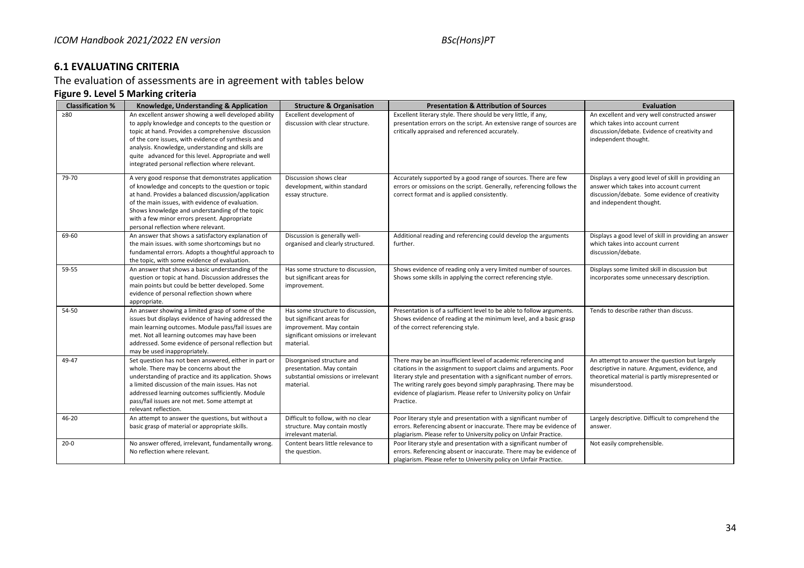# **6.1 EVALUATING CRITERIA**

The evaluation of assessments are in agreement with tables below

### **Figure 9. Level 5 Marking criteria**

| <b>Classification %</b> | Knowledge, Understanding & Application                                                                                                                                                                                                                                                                                                                                               | <b>Structure &amp; Organisation</b>                                                                                                            | <b>Presentation &amp; Attribution of Sources</b>                                                                                                                                                                                                                                                                                                                    | <b>Evaluation</b>                                                                                                                                                            |
|-------------------------|--------------------------------------------------------------------------------------------------------------------------------------------------------------------------------------------------------------------------------------------------------------------------------------------------------------------------------------------------------------------------------------|------------------------------------------------------------------------------------------------------------------------------------------------|---------------------------------------------------------------------------------------------------------------------------------------------------------------------------------------------------------------------------------------------------------------------------------------------------------------------------------------------------------------------|------------------------------------------------------------------------------------------------------------------------------------------------------------------------------|
| > 80                    | An excellent answer showing a well developed ability<br>to apply knowledge and concepts to the question or<br>topic at hand. Provides a comprehensive discussion<br>of the core issues, with evidence of synthesis and<br>analysis. Knowledge, understanding and skills are<br>quite advanced for this level. Appropriate and well<br>integrated personal reflection where relevant. | Excellent development of<br>discussion with clear structure.                                                                                   | Excellent literary style. There should be very little, if any,<br>presentation errors on the script. An extensive range of sources are<br>critically appraised and referenced accurately.                                                                                                                                                                           | An excellent and very well constructed answer<br>which takes into account current<br>discussion/debate. Evidence of creativity and<br>independent thought.                   |
| 79-70                   | A very good response that demonstrates application<br>of knowledge and concepts to the question or topic<br>at hand. Provides a balanced discussion/application<br>of the main issues, with evidence of evaluation.<br>Shows knowledge and understanding of the topic<br>with a few minor errors present. Appropriate<br>personal reflection where relevant.                         | Discussion shows clear<br>development, within standard<br>essay structure.                                                                     | Accurately supported by a good range of sources. There are few<br>errors or omissions on the script. Generally, referencing follows the<br>correct format and is applied consistently.                                                                                                                                                                              | Displays a very good level of skill in providing an<br>answer which takes into account current<br>discussion/debate. Some evidence of creativity<br>and independent thought. |
| 69-60                   | An answer that shows a satisfactory explanation of<br>the main issues. with some shortcomings but no<br>fundamental errors. Adopts a thoughtful approach to<br>the topic, with some evidence of evaluation.                                                                                                                                                                          | Discussion is generally well-<br>organised and clearly structured.                                                                             | Additional reading and referencing could develop the arguments<br>further.                                                                                                                                                                                                                                                                                          | Displays a good level of skill in providing an answer<br>which takes into account current<br>discussion/debate.                                                              |
| 59-55                   | An answer that shows a basic understanding of the<br>question or topic at hand. Discussion addresses the<br>main points but could be better developed. Some<br>evidence of personal reflection shown where<br>appropriate.                                                                                                                                                           | Has some structure to discussion,<br>but significant areas for<br>improvement.                                                                 | Shows evidence of reading only a very limited number of sources.<br>Shows some skills in applying the correct referencing style.                                                                                                                                                                                                                                    | Displays some limited skill in discussion but<br>incorporates some unnecessary description.                                                                                  |
| 54-50                   | An answer showing a limited grasp of some of the<br>issues but displays evidence of having addressed the<br>main learning outcomes. Module pass/fail issues are<br>met. Not all learning outcomes may have been<br>addressed. Some evidence of personal reflection but<br>may be used inappropriately.                                                                               | Has some structure to discussion,<br>but significant areas for<br>improvement. May contain<br>significant omissions or irrelevant<br>material. | Presentation is of a sufficient level to be able to follow arguments.<br>Shows evidence of reading at the minimum level, and a basic grasp<br>of the correct referencing style.                                                                                                                                                                                     | Tends to describe rather than discuss.                                                                                                                                       |
| 49-47                   | Set question has not been answered, either in part or<br>whole. There may be concerns about the<br>understanding of practice and its application. Shows<br>a limited discussion of the main issues. Has not<br>addressed learning outcomes sufficiently. Module<br>pass/fail issues are not met. Some attempt at<br>relevant reflection.                                             | Disorganised structure and<br>presentation. May contain<br>substantial omissions or irrelevant<br>material.                                    | There may be an insufficient level of academic referencing and<br>citations in the assignment to support claims and arguments. Poor<br>literary style and presentation with a significant number of errors.<br>The writing rarely goes beyond simply paraphrasing. There may be<br>evidence of plagiarism. Please refer to University policy on Unfair<br>Practice. | An attempt to answer the question but largely<br>descriptive in nature. Argument, evidence, and<br>theoretical material is partly misrepresented or<br>misunderstood.        |
| 46-20                   | An attempt to answer the questions, but without a<br>basic grasp of material or appropriate skills.                                                                                                                                                                                                                                                                                  | Difficult to follow, with no clear<br>structure. May contain mostly<br>irrelevant material.                                                    | Poor literary style and presentation with a significant number of<br>errors. Referencing absent or inaccurate. There may be evidence of<br>plagiarism. Please refer to University policy on Unfair Practice.                                                                                                                                                        | Largely descriptive. Difficult to comprehend the<br>answer.                                                                                                                  |
| $20 - 0$                | No answer offered, irrelevant, fundamentally wrong<br>No reflection where relevant.                                                                                                                                                                                                                                                                                                  | Content bears little relevance to<br>the question.                                                                                             | Poor literary style and presentation with a significant number of<br>errors. Referencing absent or inaccurate. There may be evidence of<br>plagiarism. Please refer to University policy on Unfair Practice.                                                                                                                                                        | Not easily comprehensible.                                                                                                                                                   |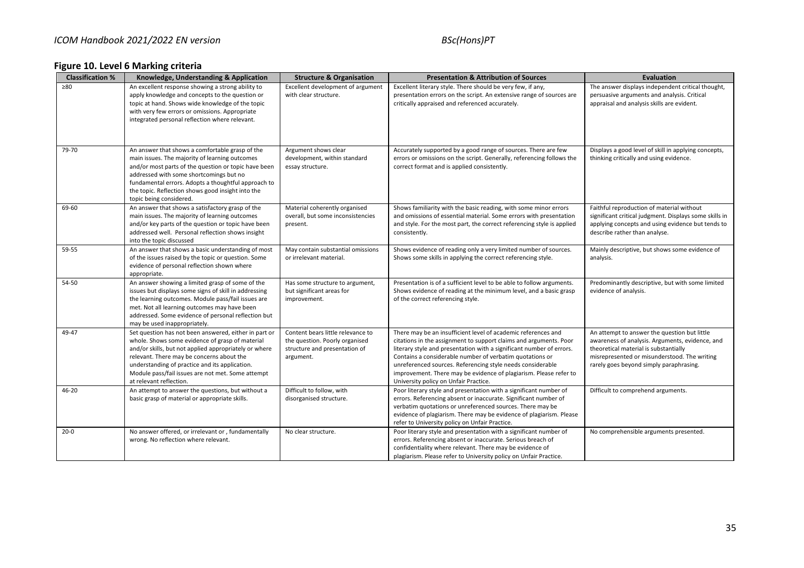# **Figure 10. Level 6 Marking criteria**

| <b>Classification %</b> | Knowledge, Understanding & Application                                                                                                                                                                                                                                                                                                           | <b>Structure &amp; Organisation</b>                                                                               | <b>Presentation &amp; Attribution of Sources</b>                                                                                                                                                                                                                                                                                                                                                                                                   | <b>Evaluation</b>                                                                                                                                                                                                                   |
|-------------------------|--------------------------------------------------------------------------------------------------------------------------------------------------------------------------------------------------------------------------------------------------------------------------------------------------------------------------------------------------|-------------------------------------------------------------------------------------------------------------------|----------------------------------------------------------------------------------------------------------------------------------------------------------------------------------------------------------------------------------------------------------------------------------------------------------------------------------------------------------------------------------------------------------------------------------------------------|-------------------------------------------------------------------------------------------------------------------------------------------------------------------------------------------------------------------------------------|
| >80                     | An excellent response showing a strong ability to<br>apply knowledge and concepts to the question or<br>topic at hand. Shows wide knowledge of the topic<br>with very few errors or omissions. Appropriate<br>integrated personal reflection where relevant.                                                                                     | Excellent development of argument<br>with clear structure.                                                        | Excellent literary style. There should be very few, if any,<br>presentation errors on the script. An extensive range of sources are<br>critically appraised and referenced accurately.                                                                                                                                                                                                                                                             | The answer displays independent critical thought,<br>persuasive arguments and analysis. Critical<br>appraisal and analysis skills are evident.                                                                                      |
| 79-70                   | An answer that shows a comfortable grasp of the<br>main issues. The majority of learning outcomes<br>and/or most parts of the question or topic have been<br>addressed with some shortcomings but no<br>fundamental errors. Adopts a thoughtful approach to<br>the topic. Reflection shows good insight into the<br>topic being considered.      | Argument shows clear<br>development, within standard<br>essay structure.                                          | Accurately supported by a good range of sources. There are few<br>errors or omissions on the script. Generally, referencing follows the<br>correct format and is applied consistently.                                                                                                                                                                                                                                                             | Displays a good level of skill in applying concepts,<br>thinking critically and using evidence.                                                                                                                                     |
| 69-60                   | An answer that shows a satisfactory grasp of the<br>main issues. The majority of learning outcomes<br>and/or key parts of the question or topic have been<br>addressed well. Personal reflection shows insight<br>into the topic discussed                                                                                                       | Material coherently organised<br>overall, but some inconsistencies<br>present.                                    | Shows familiarity with the basic reading, with some minor errors<br>and omissions of essential material. Some errors with presentation<br>and style. For the most part, the correct referencing style is applied<br>consistently.                                                                                                                                                                                                                  | Faithful reproduction of material without<br>significant critical judgment. Displays some skills in<br>applying concepts and using evidence but tends to<br>describe rather than analyse.                                           |
| 59-55                   | An answer that shows a basic understanding of most<br>of the issues raised by the topic or question. Some<br>evidence of personal reflection shown where<br>appropriate.                                                                                                                                                                         | May contain substantial omissions<br>or irrelevant material.                                                      | Shows evidence of reading only a very limited number of sources.<br>Shows some skills in applying the correct referencing style.                                                                                                                                                                                                                                                                                                                   | Mainly descriptive, but shows some evidence of<br>analysis.                                                                                                                                                                         |
| 54-50                   | An answer showing a limited grasp of some of the<br>issues but displays some signs of skill in addressing<br>the learning outcomes. Module pass/fail issues are<br>met. Not all learning outcomes may have been<br>addressed. Some evidence of personal reflection but<br>may be used inappropriately.                                           | Has some structure to argument,<br>but significant areas for<br>improvement.                                      | Presentation is of a sufficient level to be able to follow arguments.<br>Shows evidence of reading at the minimum level, and a basic grasp<br>of the correct referencing style.                                                                                                                                                                                                                                                                    | Predominantly descriptive, but with some limited<br>evidence of analysis.                                                                                                                                                           |
| 49-47                   | Set question has not been answered, either in part or<br>whole. Shows some evidence of grasp of material<br>and/or skills, but not applied appropriately or where<br>relevant. There may be concerns about the<br>understanding of practice and its application.<br>Module pass/fail issues are not met. Some attempt<br>at relevant reflection. | Content bears little relevance to<br>the question. Poorly organised<br>structure and presentation of<br>argument. | There may be an insufficient level of academic references and<br>citations in the assignment to support claims and arguments. Poor<br>literary style and presentation with a significant number of errors.<br>Contains a considerable number of verbatim quotations or<br>unreferenced sources. Referencing style needs considerable<br>improvement. There may be evidence of plagiarism. Please refer to<br>University policy on Unfair Practice. | An attempt to answer the question but little<br>awareness of analysis. Arguments, evidence, and<br>theoretical material is substantially<br>misrepresented or misunderstood. The writing<br>rarely goes beyond simply paraphrasing. |
| 46-20                   | An attempt to answer the questions, but without a<br>basic grasp of material or appropriate skills.                                                                                                                                                                                                                                              | Difficult to follow, with<br>disorganised structure.                                                              | Poor literary style and presentation with a significant number of<br>errors. Referencing absent or inaccurate. Significant number of<br>verbatim quotations or unreferenced sources. There may be<br>evidence of plagiarism. There may be evidence of plagiarism. Please<br>refer to University policy on Unfair Practice.                                                                                                                         | Difficult to comprehend arguments.                                                                                                                                                                                                  |
| $20 - 0$                | No answer offered, or irrelevant or, fundamentally<br>wrong. No reflection where relevant.                                                                                                                                                                                                                                                       | No clear structure.                                                                                               | Poor literary style and presentation with a significant number of<br>errors. Referencing absent or inaccurate. Serious breach of<br>confidentiality where relevant. There may be evidence of<br>plagiarism. Please refer to University policy on Unfair Practice.                                                                                                                                                                                  | No comprehensible arguments presented.                                                                                                                                                                                              |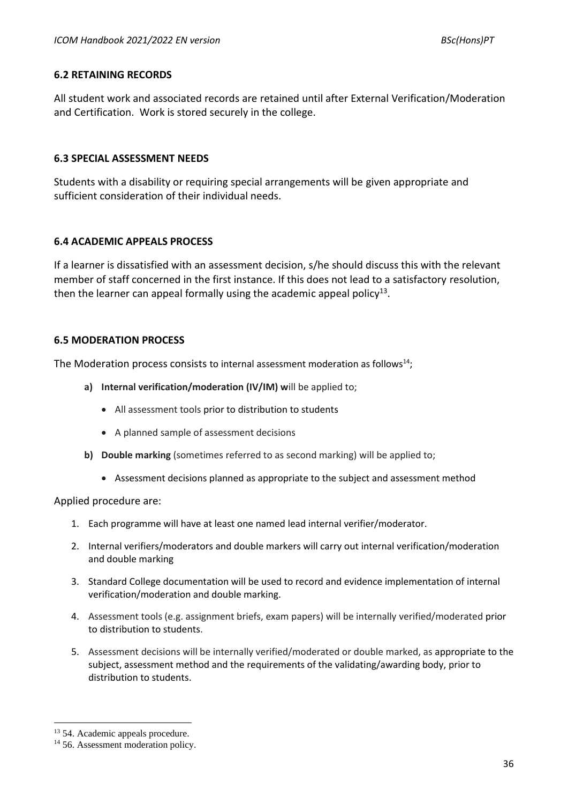#### **6.2 RETAINING RECORDS**

All student work and associated records are retained until after External Verification/Moderation and Certification. Work is stored securely in the college.

### **6.3 SPECIAL ASSESSMENT NEEDS**

Students with a disability or requiring special arrangements will be given appropriate and sufficient consideration of their individual needs.

### **6.4 ACADEMIC APPEALS PROCESS**

If a learner is dissatisfied with an assessment decision, s/he should discuss this with the relevant member of staff concerned in the first instance. If this does not lead to a satisfactory resolution, then the learner can appeal formally using the academic appeal policy<sup>13</sup>.

### **6.5 MODERATION PROCESS**

The Moderation process consists to internal assessment moderation as follows<sup>14</sup>;

- **a) Internal verification/moderation (IV/IM) w**ill be applied to;
	- All assessment tools prior to distribution to students
	- A planned sample of assessment decisions
- **b) Double marking** (sometimes referred to as second marking) will be applied to;
	- Assessment decisions planned as appropriate to the subject and assessment method

#### Applied procedure are:

- 1. Each programme will have at least one named lead internal verifier/moderator.
- 2. Internal verifiers/moderators and double markers will carry out internal verification/moderation and double marking
- 3. Standard College documentation will be used to record and evidence implementation of internal verification/moderation and double marking.
- 4. Assessment tools (e.g. assignment briefs, exam papers) will be internally verified/moderated prior to distribution to students.
- 5. Assessment decisions will be internally verified/moderated or double marked, as appropriate to the subject, assessment method and the requirements of the validating/awarding body, prior to distribution to students.

<sup>&</sup>lt;sup>13</sup> 54. Academic appeals procedure.

<sup>&</sup>lt;sup>14</sup> 56. Assessment moderation policy.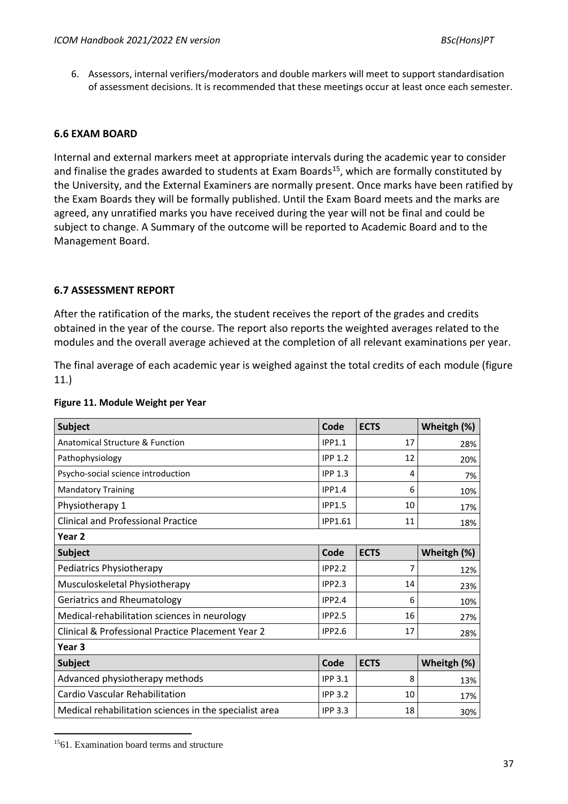6. Assessors, internal verifiers/moderators and double markers will meet to support standardisation of assessment decisions. It is recommended that these meetings occur at least once each semester.

# **6.6 EXAM BOARD**

Internal and external markers meet at appropriate intervals during the academic year to consider and finalise the grades awarded to students at Exam Boards<sup>15</sup>, which are formally constituted by the University, and the External Examiners are normally present. Once marks have been ratified by the Exam Boards they will be formally published. Until the Exam Board meets and the marks are agreed, any unratified marks you have received during the year will not be final and could be subject to change. A Summary of the outcome will be reported to Academic Board and to the Management Board.

### **6.7 ASSESSMENT REPORT**

After the ratification of the marks, the student receives the report of the grades and credits obtained in the year of the course. The report also reports the weighted averages related to the modules and the overall average achieved at the completion of all relevant examinations per year.

The final average of each academic year is weighed against the total credits of each module (figure 11.)

| <b>Subject</b>                                         | Code           | <b>ECTS</b> | Wheitgh (%) |
|--------------------------------------------------------|----------------|-------------|-------------|
| Anatomical Structure & Function                        | <b>IPP1.1</b>  | 17          | 28%         |
| Pathophysiology                                        | <b>IPP 1.2</b> | 12          | 20%         |
| Psycho-social science introduction                     | <b>IPP 1.3</b> | 4           | 7%          |
| <b>Mandatory Training</b>                              | <b>IPP1.4</b>  | 6           | 10%         |
| Physiotherapy 1                                        | <b>IPP1.5</b>  | 10          | 17%         |
| <b>Clinical and Professional Practice</b>              | <b>IPP1.61</b> | 11          | 18%         |
| Year 2                                                 |                |             |             |
| <b>Subject</b>                                         | Code           | <b>ECTS</b> | Wheitgh (%) |
| Pediatrics Physiotherapy                               | <b>IPP2.2</b>  | 7           | 12%         |
| Musculoskeletal Physiotherapy                          | <b>IPP2.3</b>  | 14          | 23%         |
| Geriatrics and Rheumatology                            | <b>IPP2.4</b>  | 6           | 10%         |
| Medical-rehabilitation sciences in neurology           | <b>IPP2.5</b>  | 16          | 27%         |
| Clinical & Professional Practice Placement Year 2      | <b>IPP2.6</b>  | 17          | 28%         |
| Year 3                                                 |                |             |             |
| <b>Subject</b>                                         | Code           | <b>ECTS</b> | Wheitgh (%) |
| Advanced physiotherapy methods                         | <b>IPP 3.1</b> | 8           | 13%         |
| Cardio Vascular Rehabilitation                         | <b>IPP 3.2</b> | 10          | 17%         |
| Medical rehabilitation sciences in the specialist area | <b>IPP 3.3</b> | 18          | 30%         |

#### **Figure 11. Module Weight per Year**

<sup>15</sup>61. Examination board terms and structure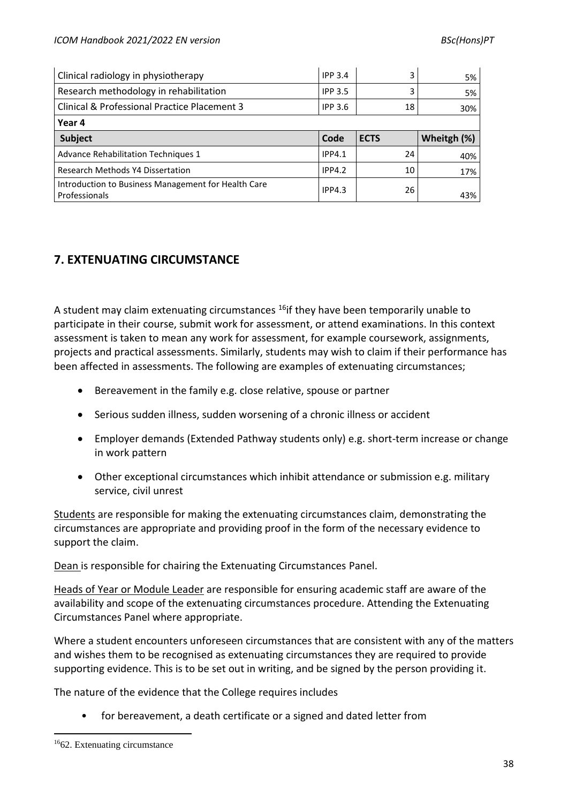| Clinical radiology in physiotherapy          | <b>IPP 3.4</b> | 3           | 5%          |
|----------------------------------------------|----------------|-------------|-------------|
| Research methodology in rehabilitation       | <b>IPP 3.5</b> | 3           | 5%          |
| Clinical & Professional Practice Placement 3 | <b>IPP 3.6</b> | 18          | 30%         |
| Year 4                                       |                |             |             |
|                                              |                |             |             |
| <b>Subject</b>                               | Code           | <b>ECTS</b> | Wheitgh (%) |
| <b>Advance Rehabilitation Techniques 1</b>   | <b>IPP4.1</b>  | 24          | 40%         |
| Research Methods Y4 Dissertation             | <b>IPP4.2</b>  | 10          | 17%         |

# **7. EXTENUATING CIRCUMSTANCE**

A student may claim extenuating circumstances <sup>16</sup>if they have been temporarily unable to participate in their course, submit work for assessment, or attend examinations. In this context assessment is taken to mean any work for assessment, for example coursework, assignments, projects and practical assessments. Similarly, students may wish to claim if their performance has been affected in assessments. The following are examples of extenuating circumstances;

- Bereavement in the family e.g. close relative, spouse or partner
- Serious sudden illness, sudden worsening of a chronic illness or accident
- Employer demands (Extended Pathway students only) e.g. short-term increase or change in work pattern
- Other exceptional circumstances which inhibit attendance or submission e.g. military service, civil unrest

Students are responsible for making the extenuating circumstances claim, demonstrating the circumstances are appropriate and providing proof in the form of the necessary evidence to support the claim.

Dean is responsible for chairing the Extenuating Circumstances Panel.

Heads of Year or Module Leader are responsible for ensuring academic staff are aware of the availability and scope of the extenuating circumstances procedure. Attending the Extenuating Circumstances Panel where appropriate.

Where a student encounters unforeseen circumstances that are consistent with any of the matters and wishes them to be recognised as extenuating circumstances they are required to provide supporting evidence. This is to be set out in writing, and be signed by the person providing it.

The nature of the evidence that the College requires includes

• for bereavement, a death certificate or a signed and dated letter from

<sup>16</sup>62. Extenuating circumstance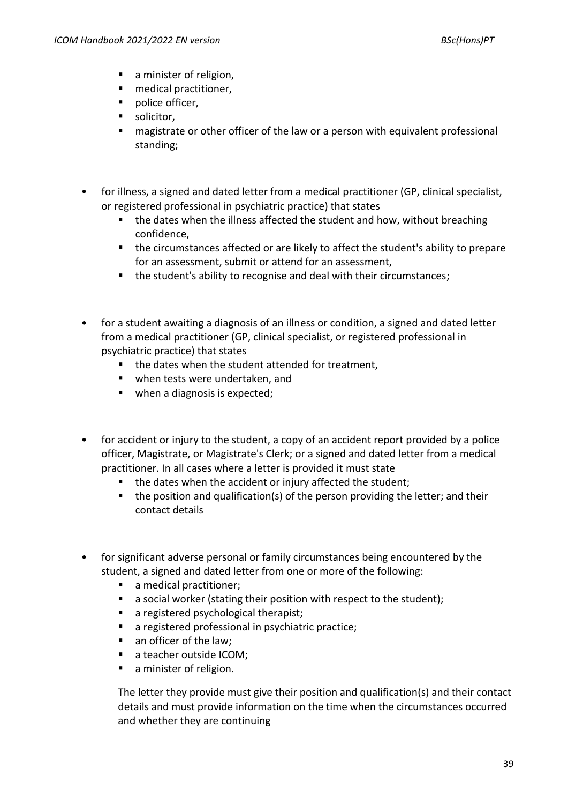- a minister of religion,
- medical practitioner,
- police officer,
- **■** solicitor,
- magistrate or other officer of the law or a person with equivalent professional standing;
- for illness, a signed and dated letter from a medical practitioner (GP, clinical specialist, or registered professional in psychiatric practice) that states
	- the dates when the illness affected the student and how, without breaching confidence,
	- the circumstances affected or are likely to affect the student's ability to prepare for an assessment, submit or attend for an assessment,
	- the student's ability to recognise and deal with their circumstances;
- for a student awaiting a diagnosis of an illness or condition, a signed and dated letter from a medical practitioner (GP, clinical specialist, or registered professional in psychiatric practice) that states
	- the dates when the student attended for treatment,
	- when tests were undertaken, and
	- when a diagnosis is expected;
- for accident or injury to the student, a copy of an accident report provided by a police officer, Magistrate, or Magistrate's Clerk; or a signed and dated letter from a medical practitioner. In all cases where a letter is provided it must state
	- the dates when the accident or injury affected the student;
	- the position and qualification(s) of the person providing the letter; and their contact details
- for significant adverse personal or family circumstances being encountered by the student, a signed and dated letter from one or more of the following:
	- a medical practitioner;
	- a social worker (stating their position with respect to the student);
	- a registered psychological therapist:
	- a registered professional in psychiatric practice;
	- an officer of the law;
	- a teacher outside ICOM;
	- a minister of religion.

The letter they provide must give their position and qualification(s) and their contact details and must provide information on the time when the circumstances occurred and whether they are continuing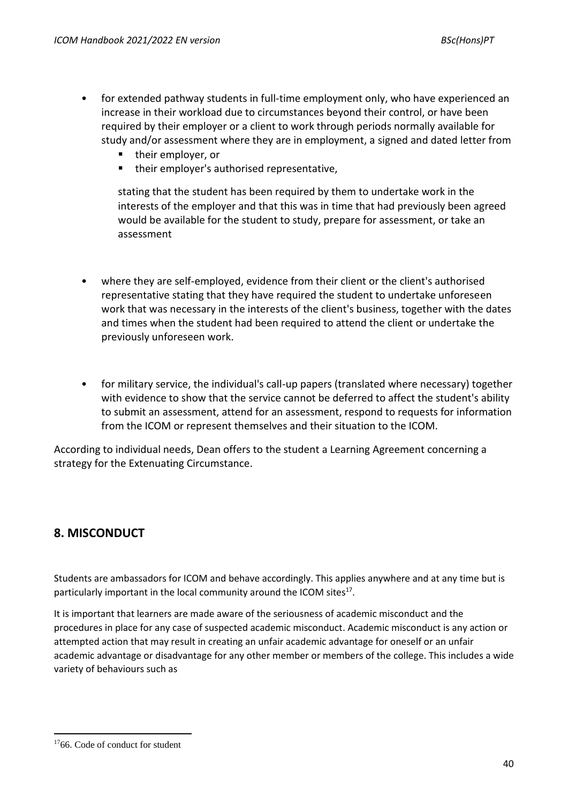- for extended pathway students in full-time employment only, who have experienced an increase in their workload due to circumstances beyond their control, or have been required by their employer or a client to work through periods normally available for study and/or assessment where they are in employment, a signed and dated letter from
	- their employer, or
	- their employer's authorised representative,

stating that the student has been required by them to undertake work in the interests of the employer and that this was in time that had previously been agreed would be available for the student to study, prepare for assessment, or take an assessment

- where they are self-employed, evidence from their client or the client's authorised representative stating that they have required the student to undertake unforeseen work that was necessary in the interests of the client's business, together with the dates and times when the student had been required to attend the client or undertake the previously unforeseen work.
- for military service, the individual's call-up papers (translated where necessary) together with evidence to show that the service cannot be deferred to affect the student's ability to submit an assessment, attend for an assessment, respond to requests for information from the ICOM or represent themselves and their situation to the ICOM.

According to individual needs, Dean offers to the student a Learning Agreement concerning a strategy for the Extenuating Circumstance.

# **8. MISCONDUCT**

Students are ambassadors for ICOM and behave accordingly. This applies anywhere and at any time but is particularly important in the local community around the ICOM sites<sup>17</sup>.

It is important that learners are made aware of the seriousness of academic misconduct and the procedures in place for any case of suspected academic misconduct. Academic misconduct is any action or attempted action that may result in creating an unfair academic advantage for oneself or an unfair academic advantage or disadvantage for any other member or members of the college. This includes a wide variety of behaviours such as

<sup>&</sup>lt;sup>17</sup>66. Code of conduct for student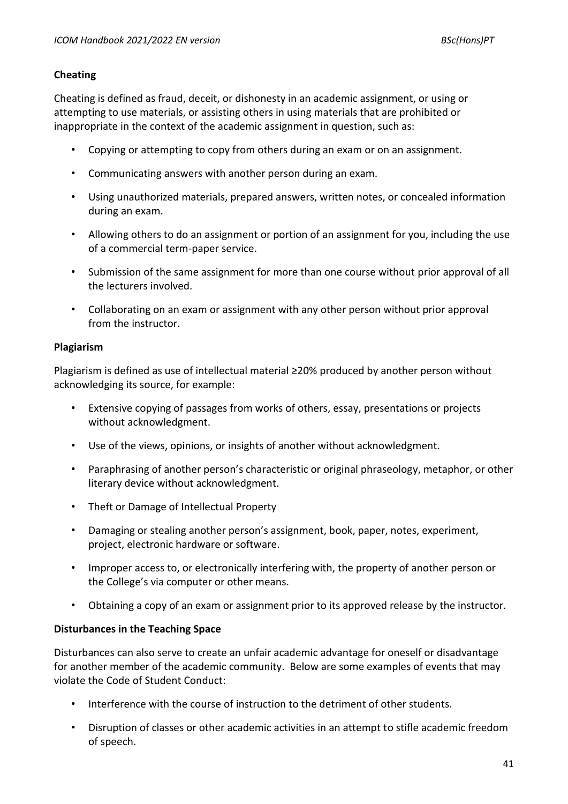# **Cheating**

Cheating is defined as fraud, deceit, or dishonesty in an academic assignment, or using or attempting to use materials, or assisting others in using materials that are prohibited or inappropriate in the context of the academic assignment in question, such as:

- Copying or attempting to copy from others during an exam or on an assignment.
- Communicating answers with another person during an exam.
- Using unauthorized materials, prepared answers, written notes, or concealed information during an exam.
- Allowing others to do an assignment or portion of an assignment for you, including the use of a commercial term-paper service.
- Submission of the same assignment for more than one course without prior approval of all the lecturers involved.
- Collaborating on an exam or assignment with any other person without prior approval from the instructor.

# **Plagiarism**

Plagiarism is defined as use of intellectual material ≥20% produced by another person without acknowledging its source, for example:

- Extensive copying of passages from works of others, essay, presentations or projects without acknowledgment.
- Use of the views, opinions, or insights of another without acknowledgment.
- Paraphrasing of another person's characteristic or original phraseology, metaphor, or other literary device without acknowledgment.
- Theft or Damage of Intellectual Property
- Damaging or stealing another person's assignment, book, paper, notes, experiment, project, electronic hardware or software.
- Improper access to, or electronically interfering with, the property of another person or the College's via computer or other means.
- Obtaining a copy of an exam or assignment prior to its approved release by the instructor.

# **Disturbances in the Teaching Space**

Disturbances can also serve to create an unfair academic advantage for oneself or disadvantage for another member of the academic community. Below are some examples of events that may violate the Code of Student Conduct:

- Interference with the course of instruction to the detriment of other students.
- Disruption of classes or other academic activities in an attempt to stifle academic freedom of speech.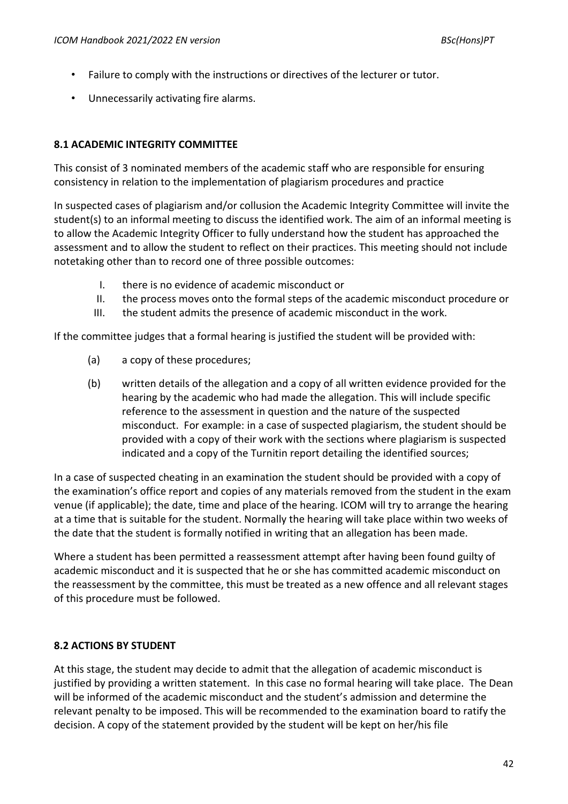- Failure to comply with the instructions or directives of the lecturer or tutor.
- Unnecessarily activating fire alarms.

# **8.1 ACADEMIC INTEGRITY COMMITTEE**

This consist of 3 nominated members of the academic staff who are responsible for ensuring consistency in relation to the implementation of plagiarism procedures and practice

In suspected cases of plagiarism and/or collusion the Academic Integrity Committee will invite the student(s) to an informal meeting to discuss the identified work. The aim of an informal meeting is to allow the Academic Integrity Officer to fully understand how the student has approached the assessment and to allow the student to reflect on their practices. This meeting should not include notetaking other than to record one of three possible outcomes:

- I. there is no evidence of academic misconduct or
- II. the process moves onto the formal steps of the academic misconduct procedure or
- III. the student admits the presence of academic misconduct in the work.

If the committee judges that a formal hearing is justified the student will be provided with:

- (a) a copy of these procedures;
- (b) written details of the allegation and a copy of all written evidence provided for the hearing by the academic who had made the allegation. This will include specific reference to the assessment in question and the nature of the suspected misconduct. For example: in a case of suspected plagiarism, the student should be provided with a copy of their work with the sections where plagiarism is suspected indicated and a copy of the Turnitin report detailing the identified sources;

In a case of suspected cheating in an examination the student should be provided with a copy of the examination's office report and copies of any materials removed from the student in the exam venue (if applicable); the date, time and place of the hearing. ICOM will try to arrange the hearing at a time that is suitable for the student. Normally the hearing will take place within two weeks of the date that the student is formally notified in writing that an allegation has been made.

Where a student has been permitted a reassessment attempt after having been found guilty of academic misconduct and it is suspected that he or she has committed academic misconduct on the reassessment by the committee, this must be treated as a new offence and all relevant stages of this procedure must be followed.

# **8.2 ACTIONS BY STUDENT**

At this stage, the student may decide to admit that the allegation of academic misconduct is justified by providing a written statement. In this case no formal hearing will take place. The Dean will be informed of the academic misconduct and the student's admission and determine the relevant penalty to be imposed. This will be recommended to the examination board to ratify the decision. A copy of the statement provided by the student will be kept on her/his file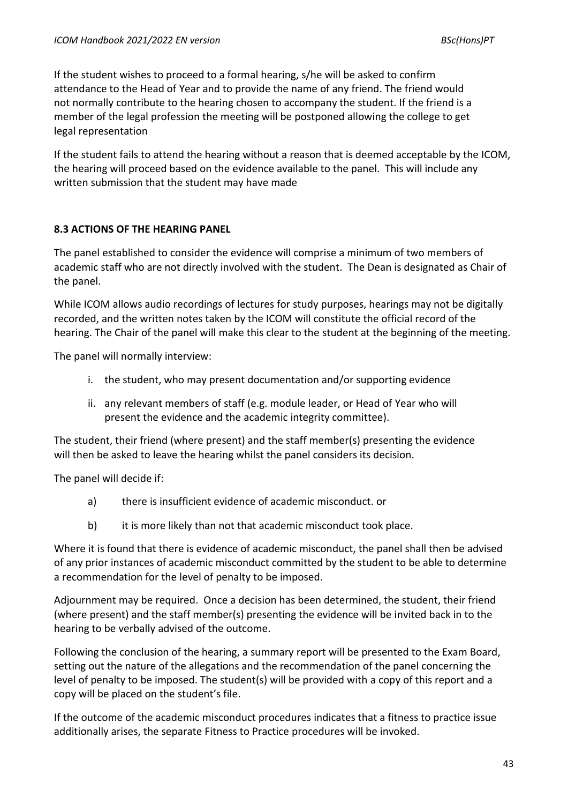If the student wishes to proceed to a formal hearing, s/he will be asked to confirm attendance to the Head of Year and to provide the name of any friend. The friend would not normally contribute to the hearing chosen to accompany the student. If the friend is a member of the legal profession the meeting will be postponed allowing the college to get legal representation

If the student fails to attend the hearing without a reason that is deemed acceptable by the ICOM, the hearing will proceed based on the evidence available to the panel. This will include any written submission that the student may have made

# **8.3 ACTIONS OF THE HEARING PANEL**

The panel established to consider the evidence will comprise a minimum of two members of academic staff who are not directly involved with the student. The Dean is designated as Chair of the panel.

While ICOM allows audio recordings of lectures for study purposes, hearings may not be digitally recorded, and the written notes taken by the ICOM will constitute the official record of the hearing. The Chair of the panel will make this clear to the student at the beginning of the meeting.

The panel will normally interview:

- i. the student, who may present documentation and/or supporting evidence
- ii. any relevant members of staff (e.g. module leader, or Head of Year who will present the evidence and the academic integrity committee).

The student, their friend (where present) and the staff member(s) presenting the evidence will then be asked to leave the hearing whilst the panel considers its decision.

The panel will decide if:

- a) there is insufficient evidence of academic misconduct. or
- b) it is more likely than not that academic misconduct took place.

Where it is found that there is evidence of academic misconduct, the panel shall then be advised of any prior instances of academic misconduct committed by the student to be able to determine a recommendation for the level of penalty to be imposed.

Adjournment may be required. Once a decision has been determined, the student, their friend (where present) and the staff member(s) presenting the evidence will be invited back in to the hearing to be verbally advised of the outcome.

Following the conclusion of the hearing, a summary report will be presented to the Exam Board, setting out the nature of the allegations and the recommendation of the panel concerning the level of penalty to be imposed. The student(s) will be provided with a copy of this report and a copy will be placed on the student's file.

If the outcome of the academic misconduct procedures indicates that a fitness to practice issue additionally arises, the separate Fitness to Practice procedures will be invoked.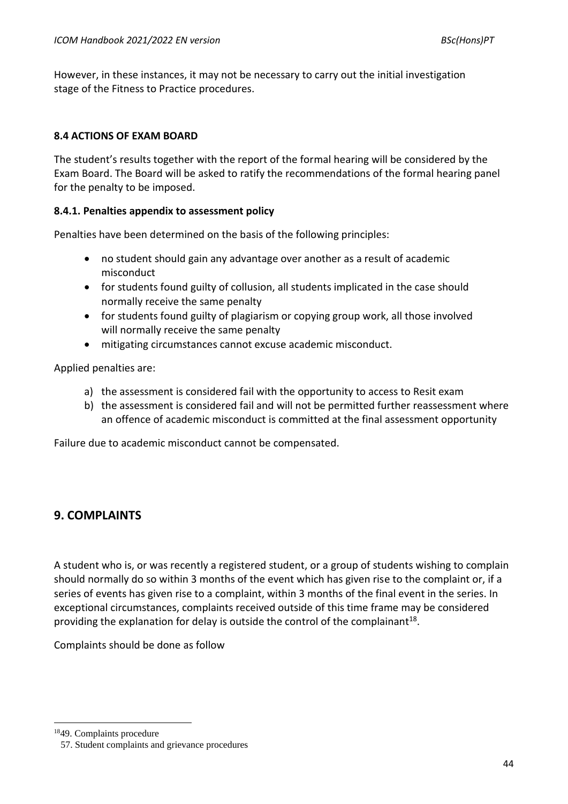However, in these instances, it may not be necessary to carry out the initial investigation stage of the Fitness to Practice procedures.

# **8.4 ACTIONS OF EXAM BOARD**

The student's results together with the report of the formal hearing will be considered by the Exam Board. The Board will be asked to ratify the recommendations of the formal hearing panel for the penalty to be imposed.

# **8.4.1. Penalties appendix to assessment policy**

Penalties have been determined on the basis of the following principles:

- no student should gain any advantage over another as a result of academic misconduct
- for students found guilty of collusion, all students implicated in the case should normally receive the same penalty
- for students found guilty of plagiarism or copying group work, all those involved will normally receive the same penalty
- mitigating circumstances cannot excuse academic misconduct.

Applied penalties are:

- a) the assessment is considered fail with the opportunity to access to Resit exam
- b) the assessment is considered fail and will not be permitted further reassessment where an offence of academic misconduct is committed at the final assessment opportunity

Failure due to academic misconduct cannot be compensated.

# **9. COMPLAINTS**

A student who is, or was recently a registered student, or a group of students wishing to complain should normally do so within 3 months of the event which has given rise to the complaint or, if a series of events has given rise to a complaint, within 3 months of the final event in the series. In exceptional circumstances, complaints received outside of this time frame may be considered providing the explanation for delay is outside the control of the complainant<sup>18</sup>.

Complaints should be done as follow

<sup>18</sup>49. Complaints procedure

<sup>57.</sup> Student complaints and grievance procedures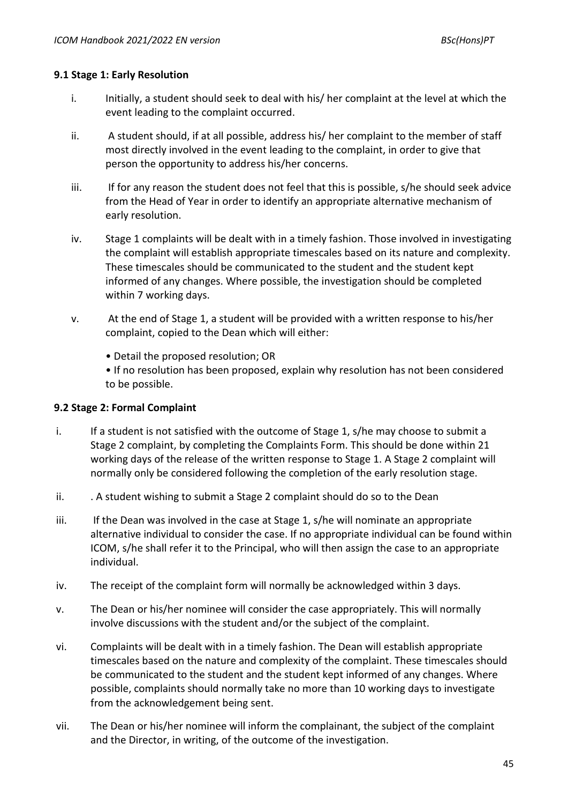# **9.1 Stage 1: Early Resolution**

- i. Initially, a student should seek to deal with his/ her complaint at the level at which the event leading to the complaint occurred.
- ii. A student should, if at all possible, address his/ her complaint to the member of staff most directly involved in the event leading to the complaint, in order to give that person the opportunity to address his/her concerns.
- iii. If for any reason the student does not feel that this is possible, s/he should seek advice from the Head of Year in order to identify an appropriate alternative mechanism of early resolution.
- iv. Stage 1 complaints will be dealt with in a timely fashion. Those involved in investigating the complaint will establish appropriate timescales based on its nature and complexity. These timescales should be communicated to the student and the student kept informed of any changes. Where possible, the investigation should be completed within 7 working days.
- v. At the end of Stage 1, a student will be provided with a written response to his/her complaint, copied to the Dean which will either:
	- Detail the proposed resolution; OR

• If no resolution has been proposed, explain why resolution has not been considered to be possible.

# **9.2 Stage 2: Formal Complaint**

- i. If a student is not satisfied with the outcome of Stage 1, s/he may choose to submit a Stage 2 complaint, by completing the Complaints Form. This should be done within 21 working days of the release of the written response to Stage 1. A Stage 2 complaint will normally only be considered following the completion of the early resolution stage.
- ii. . . . A student wishing to submit a Stage 2 complaint should do so to the Dean
- iii. If the Dean was involved in the case at Stage 1, s/he will nominate an appropriate alternative individual to consider the case. If no appropriate individual can be found within ICOM, s/he shall refer it to the Principal, who will then assign the case to an appropriate individual.
- iv. The receipt of the complaint form will normally be acknowledged within 3 days.
- v. The Dean or his/her nominee will consider the case appropriately. This will normally involve discussions with the student and/or the subject of the complaint.
- vi. Complaints will be dealt with in a timely fashion. The Dean will establish appropriate timescales based on the nature and complexity of the complaint. These timescales should be communicated to the student and the student kept informed of any changes. Where possible, complaints should normally take no more than 10 working days to investigate from the acknowledgement being sent.
- vii. The Dean or his/her nominee will inform the complainant, the subject of the complaint and the Director, in writing, of the outcome of the investigation.